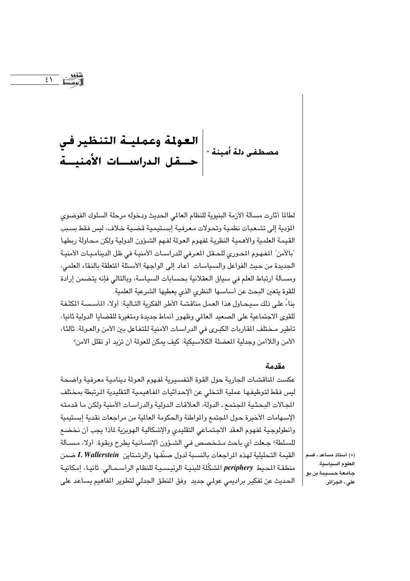|العولمة وعمليــة التنظير في<br>مصطفى دلة أمينة \*|<br>|حـــقل الدراســــات الأمنيـــة

 $\sqrt{\xi}$ 

لطالما أثارت مسألة الأزمة البنيوية للنظام العالمي الحديث ودخوله مرحلة السلوك الفوضوي المؤدية إلى تشعبات نظمية وتحولات معرفية إبستيمية قضية خلاف، ليس فقط بسبب القيمة العلمية والأهمية النظرية لمفهوم العولة لفهم الشؤون الدولية ولكن محاولة ربطها ّبالأمن" المفهوم المحوري للحقل المعرفي للدراسـات الأمنيـة في ظل الدينامـيـات الأمنيـة الجديدة من حيث الفواعل والسياسات أعاد إلى الواجهة الأسئلة المتعلقة بالنقاء العلمى، ومسـألة ارتباط العلم في سياق الـعقلانية بحسابات السياسة، وبالتالي فإنه يتضمن إرادة للقوة يتعين البحث عن أساسها النظرى الذي يعطيها الشرعية العلمية. بناءً على ذلك سيحـاول هذا العمل مناقشـة الأطر الفكرية التـاليـة: أولا، المأسسـة المكثـفـة للقوى الاجتماعية على الصعيد العالمي وظهور أنماط جديدة ومتغيرة للقضايا الدولية ثانيا، تأطير مـختلف المقاربات الكبـرى في الدراسـات الأمنية للتفاعل بين الأمن والعـولة. ثالثا، الأمن واللاأمن وجدلية المغضلة الكلاسيكية: كيف يمكن للعولة أن تزيد أو تقلل الأمن؟

#### مقدمة

عكست الناقشات الجارية حول القوة التفسيرية لفهوم العولة دينامية معرفية واضحة ليس فقط لتوظيفها عملية التخلي عن الإحداثيات الفاهيمية التقليدية الرتبطة بمختلف المجالات البحثية المجتمع ـ الدولة، العلاقات الدولية والدراسات الأمنية ولكن ما قدمته الإسهامات الأخيرة حول المجتمع والمواطنة والحكومة العالية من مراجعات نقدية إبستيمية وأنطولوجية لمفهوم العقد الاجتماعي التقليدي والإشكالية الهوبزية لماذا يجب أن نخضع للسلطة؟ جعلت أي باحث متخصص في الشؤون الإنسانية يطرح وبقوة: أولا، مسـألة القيمة التحليلية لهذه المراجعات بالنسبة لدول صنّفها والرشتاين I. Wallerstein ضمن منطقـة المحيط periphery الشكّلة للبنيـة الرئيسـيـة للنظام الرأسـمـالي. ثانيـا، إمكانيـة الحديث عن تفكير براديمي عولمي جديد وفق المنطق الجدلي لتطوير المفاهيم يساعد على

(\*) أستاذ مساعد ـ قسم العلوم السياسية. جامعة حسيبة بن بو على ـ الجزائر.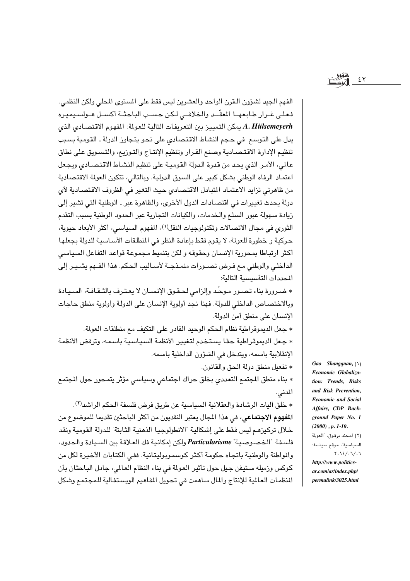الفهم الجيد لشؤون الـقرن الواحد والعشرين ليس فقط على المستوى المحلي ولكن النظمى. فعلى غرار طابعهـا المعقّـد والخلافـى لكن حسب الباحثـة أكسـل هـولسـيميره A. Hülsemeyerh يمكن التمييز بين التعريفات التالية للعولة: المفهوم الاقتصادي الذي يدل على التوسع في حجم النشاط الاقتصادي على نحو يتجاوز الدولة ـ القومية بسبب تنظيم الإدارة الاقتصادية وصنع القرار وتنظيم الإنتاج والتوزيع، والتسويق على نطاق عالمي، الأمـر الذي يحد من قدرة الدولة القوميـة على تنظيم النشـاط الاقتصـادي ويجعل اعتماد الرفاه الوطني بشكل كبير على السوق الدولية. وبالتالي، تتكون العولة الاقتصادية من ظاهرتى تزايد الاعتماد المتبادل الاقتصادي حيث التغير في الظروف الاقتصادية لأي دولة يحدث تغييرات في اقتصـادات الدول الأخرى، والظاهرة عبر ـ الوطنية التي تشير إلى زيادة سهولة عبور السلع والخدمات، والكيانات التجارية عبر الحدود الوطنية بسبب التقدم الثوري في مجال الاتصالات وتكنولوجيات النقل(١)، المفهوم السياسي، أكثر الأبعاد حيوية، حركية و خطورة للعولة، لا يقوم فقط بإعادة النظر في المنطلقات الأسـاسية للدولة بجعلها أكثر ارتباطا بمحورية الإنسان وحقوقه و لكن بتنميط مجموعة قواعد التفاعل السياسي الداخلي والوطني مع فرض تصـورات منمـذجـة لأسـاليب الحكم. هذا الفـهم يشـيـر إلى المحددات التأسيسية التالية:

\* ضرورة بناء تصور موحّد وإلزامي لحقوق الإنسـان لا يعترف بالثـقـافـة، السـيـادة وبالاختصاص الداخلي للدولة. فهنا نجد أولوية الإنسان على الدولة وأولوية منطق حاجات الإنسان على منطق أمن الدولة.

\* جعل الديموقراطية نظام الحكم الوحيد القادر على التكيف مع منطلقات العولمة. \* جعل الديموقراطية حقا يستخدم لتغيير الأنظمة السياسية باسمه، وترفض الأنظمة الإنقلابية باسمه، ويتدخل في الشؤون الداخلية باسمه.

\* تفعيل منطق دولة الحق والقانون. \* بناء منطق المجتمع التعددي بخلق حراك اجتماعي وسياسي مؤثر يتمحور حول المجتمع المدنى.

\* خلق آليات الرشادة والعقلانية السياسية عن طريق فرض فلسفة الحكم الراشد(٢). **المفهوم الاجتماعي**، في هذا المجال يعتبر النقديون من أكثر الباحثين تقديما للموضوع من خلال تركيزهم ليس فقط على إشكالية "الانطولوجيا الذهنية الثابتة" للدولة القومية ونقد فلسفة "الخصوصية" Particularisme ولكن امكانية فك العلاقة بين السيادة والحدود، والمواطنة والوطنية باتجاه حكومة أكثر كوسموبوليتانية. ففي الكتابات الأخيرة لكل من كوكس وزميله ستيفن جيل حول تأثير العولة في بناء النظام العالمي، جادل الباحثان بأن النظمات العالمية للإنتاج والمال ساهمت في تحويل المفاهيم الويستفالية للمجتمع وشكل

Gao Shangquan,  $(1)$ Economic Globalization: Trends, Risks and Risk Prevention, **Economic and Social** Affairs, CDP Background Paper No. 1  $(2000)$ , p. 1-10. (٢) امحند برقوق، "العولمة السياسية"، موقع سياسة:  $Y.12/.7/.7$ 

 $55$ 

http://www.politics $ar.com/ar/index.php/$ permalink/3025.html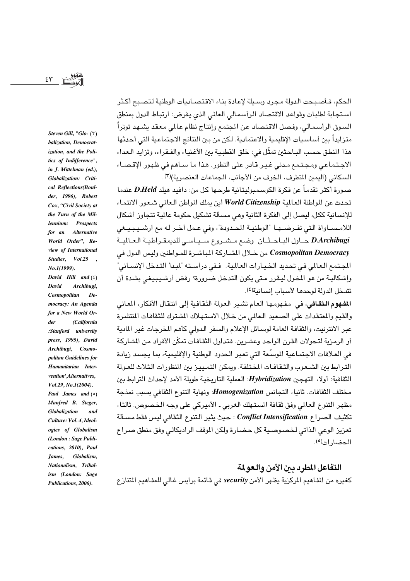$55$ 

Steven Gill, "Glo- $(5)$ balization, Democratization, and the Politics of Indifference", in J. Mittelman (ed.), Globalization: Critical Reflections(Boulder, 1996), Robert Cox, "Civil Society at the Turn of the Millennium: Prospects for an **Alternative** World Order", Review of International  $Vol.25$ , Studies,  $No. I (1999).$ 

David Hill and  $(\xi)$ David Archibugi, Cosmopolitan  $De$ mocracy: An Agenda for a New World Or-(California der :Stanford university press, 1995), David Archibugi. Cosmopolitan Guidelines for Humanitarian Intervention' Alternatives, Vol.29, No.1(2004). Paul James and  $(°)$ Manfred B. Steger, Globalization ano Culture: Vol. 4. Ideologies of Globalism (London : Sage Publications, 2010), Paul James, Globalism, Nationalism, Tribalism (London: Sage Publications, 2006).

الحكم، فـأصبـحت الدولة مـحرد وسبلة لإعادة بناء الاقتصباديات الوطنية لتصبح أكثر استجابة لطلبات وقواعد الاقتصاد الرأسمالي العالمي الذي يفرض: ارتباط الدول بمنطق السوق الرأسمالي، وفصل الاقتصاد عن المجتمع وإنتاج نظام عالمي معقد يشهد توتراً متزايداً بين أساسيات الإقليمية والاعتمادية. لكن من بين النتائج الاجتماعية التي أحدثها هذا المنطق حسب البـاحثين تمثِّل في: خلق القطبـية بين الأغنيـاء والفـقـراء، وتزايد الـعداء الاجتماعي ومجتمع مدنى غير قادر على التطور. هذا ما سـاهم في ظهور الإقـصـاء السكاني (اليمين المتطرف، الخوف من الأجانب، الجماعات العنصرية)(٣).

صورة أكثر تقدماً عن فكرة الكوسمبوليتانية طرحـها كل من: دافيد هيلد D.Held عندما تحدث عن المواطنة العالمية World Citizenship أين يملك المواطن الـعالمي شـعور الانتمـاء للإنسانية ككل، ليصل إلى الفكرة الثانية وهي مسألة تشكيل حكومة عالمية تتجاوز أشكال اللامسـاواة التي تفـرضــهـا "الوطنيـة المحـدودة"، وفي عـمل أخـر لـه مع ارشــيـبـيـغي D.Archibugi حاول الباحثان وضع مشروع سياسي للديمقراطية العالمية Cosmopolitan Democracy من خلال المشاركة المباشرة للمواطنين وليس الدول في الجـتمع الـعالمي في تحديد الخـيـارات العـالمية. فـفي دراسـته "لبـدأ التـدخل الإنسـاني" وإشكاليـة من هو المخول ليـقرر مـتى يكون التدخل ضـرورة؟ رفض أرشـيـبيغى بشـدة أن تتدخل الدولة لوحدها لأسباب انسانية(٤).

المفهوم الثقافي، في مفهومها العام تشير العولة الثقافية إلى انتقال الأفكار، المعاني والقيم والمعتقدات على الصعيد العالمي من خلال الاستهلاك الشترك للثقافات المنتشرة عبر الانترنيت، والثقافة العامة لوسائل الإعلام والسفر الدولي كأهم المخرجات غير المادية أو الرمزية لتحولات القرن الواحد وعشرين. فتداول الثقافات تمكّن الأفراد من الشاركة في العلاقات الاجتماعية الموسَّعة التي تعبر الحدود الوطنية والإقليمية، بما يجسد زيادة الترابط بين الشبعوب والثقافات المختلفة. ويمكن التمييز بين المنظورات الثلاث للعولة الثقافية: أولا، التهجين Hybridization: العملية التاريخية طويلة الأمد لإحداث الترابط بين مختلف الثقافات. ثانيا، التجانس Homogenization: ونهاية التنوع الثقافي بسبب نمذجة مظهر التنوع العالمي وفق ثقافة المستهلك الغربي ـ الأميركي على وجه الخصوص. ثالثا، تكثيف الصراع Conflict Intensification : حيث يثير التنوع الثقافي ليس فقط مسـألة تعزيز الوعي الذاتي لخصوصية كل حضارة ولكن الموقف الراديكالي وفق منطق صراع الحضار ات<sup>0</sup>).

# التفاعل المطرد بين الأمن والعولمة

كغيره من المفاهيم الركزية يظهر الأمن security في قائمة برايس غالي للمفاهيم المتنازع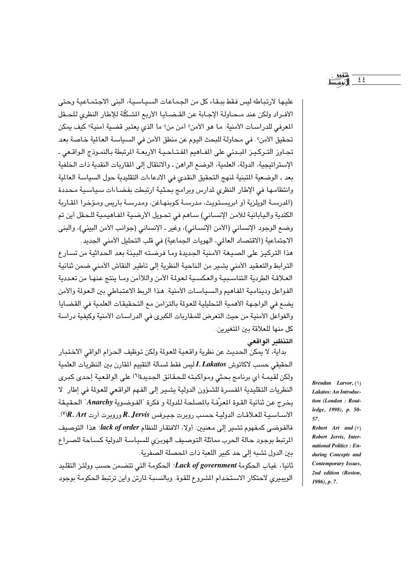$55$ 

عليها لارتباطه ليس فقط ببقاء كل من الجماعات السياسية، البني الاجتماعية وحتى الأفـراد ولكن عند مـحـاولـة الإجـابة عن القـضـايـا الأربع المشكّلة للإطار النظري للحـقل المعرفي للدراسات الأمنية: ما هو الأمن؟ أمن من؟ ما الذي يعتبر قضية أمنية؟ كيف يمكن تحقيق الأمن؟. في محاولة للبحث اليوم عن منطق الأمن في السياسة العالمة خاصة بعد تجاوز التركيز البدئي على الفـاهيم المفتـاحيـة الأربعـة الرتبطة بالنمـوذج الـواقـعي ـ الإستراتيجية، الدولة، العلمية، الوضع الراهن ـ والانتقال إلى المقاربات النقدية ذات الخلفية بعد ـ الوضعية المتبنية لمنهج التحقيق النقدى في الادعاءات التقليدية حول السياسة العالمية وانتظامها في الإطار النظري لدارس وبرامج بحثية ارتبطت بفضاءات سياسية محددة (الدرسـة الويلزية أو ابريستويث، مدرسـة كوبنهـاغن، ومدرسـة باريس ومـؤخرا المقـارية الكندية واليابانية للأمن الإنساني) ساهم في تحويل الأرضية المفاهيمية للحقل أين تم وضع الوجود الإنساني (الأمن الإنساني)، وغير ـ الإنساني (جوانب الأمن البيئي)، والبني الاجتماعية (الاقتصاد العالمي، الهويات الجماعية) في قلب التحليل الأمني الجديد. هذا التركيز على الصيغة الأمنية الجديدة وما فرضته البيئة بعد الحداثية من تسارع الترابط والتعقيد الأمنى يشير من الناحية النظرية إلى تأطير النقاش الأمنى ضمن ثنائية العلاقة الطردية التناسبية والعكسية لعولة الأمن واللاأمن وما ينتج عنها من تعددية الفواعل ودينامية المفاهيم والسياسات الأمنية. هذا الربط الاعتباطي بين العولمة والأمن يضع في الواجهة الأهمية التحليلية للعولة بالتزامن مع التحقيقات العلمية في القضايا والفواعل الأمنية من حيث التعرض للمقاربات الكبرى في الدراسات الأمنية وكيفية دراسة كل منها للعلاقة بين المتغيرين.

# التنظير الواقعى

بداية، لا يمكن الحديث عن نظرية واقعية للعولة ولكن توظيف الحزام الواقي الاختبار الحقيقي حسب لاكاتوش I. Lakatos ليس فقط لمسألة التقييم المقارن بين النظريات العلمية ولكن لقيمـة أي برنامج بحثى ومواكبته للـحقائق الجديدة(٦) على الواقعية إحدى كبرى النظريات التقليدية المفسرة للشؤون الدولية يشير إلى الفهم الواقعي للعولة في إطار لا يخرج عن ثنائية القوة المعرّفة بالمصلحة للدولة و فكرة "الفوضوية Anarchy" الحقيقة الأساسية للعلاقات الدولية حسب روبرت جيرفس R. Jervis وروبرت أرت R. Art"). فالفوضى كمفهوم تشير إلى معنيين: أولا، الافتقار للنظام lack of order! هذا التوصيف المرتبط بوجود حالة الحرب مماثلة التوصيف الهوبزى للسياسة الدولية كساحة للصراع بين الدول تشبه إلى حد كبير اللعبة ذات المحصلة الصفرية.

ثانيا، غياب الحكومة Lack of government: الحكومة التي تتضمن حسب وولتز التقليد الويبيري لاحتكار الاستخدام الشروع للقوة. وبالنسبة لمارتن واين ترتبط الحكومة بوجود

**Brendan** *Larvor*,  $(1)$ Lakatos: An Introduction (London: Routledge, 1998), p. 50-57.

Robert Art and  $(V)$ Robert Jervis, International Politics: Enduring Concepts and **Contemporary Issues,** 2nd edition (Boston,  $1986$ , p. 7.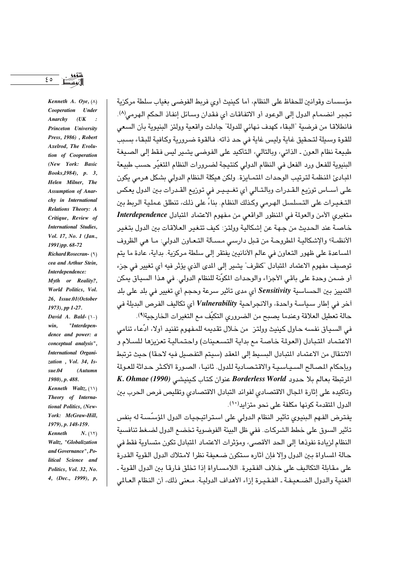ه ع

Kenneth A. Oye,  $(\wedge)$ Cooperation Under  $Anarchy$   $(UK)$ : Princeton University Press, 1986), Robert Axelrod, The Evolution of Cooperation (New York: Basic Books, 1984), p. 3, Helen Milner, The **Assumption of Anar**chy in International Relations Theory: A Critique, Review of **International Studies.** Vol. 17, No. 1 (Jan., 1991)pp. 68-72 Richard Rosecran-(٩) cea and Arthur Stein, Interdependence: Myth or Reality?, World Politics, Vol. 26, Issue.01(October 1973), pp 1-27. David A. Bald- $(\wedge \cdot)$ "Interdepenwin. dence and power: a conceptual analysis", International Organization, Vol. 34, Is $sue.04$ (Autumn 1980), p. 488. Kenneth Waltz,  $(1)$ Theory of International Politics, (New-York: McGraw-Hill. 1979), p. 148-159.  $Kenneth$  $N.$  ( $\Upsilon$ ) Waltz, "Globalization and Governance", Political Science and Politics, Vol. 32, No. 4, (Dec., 1999), p,

مؤسسات وقوانين للحفاظ على النظام، أما كينيث أوى فريط الفوضى بغياب سلطة مركزية تجبر انضمام الدول إلى الوعود أو الاتفاقات أي فقدان وسائل إنفاذ الحكم الهرمي(٨). فانطلاقا من فرضية "البقاء كهدف نهائى للدولة" جادلت واقعية وولتز البنيوية بأن السعى للقوة وسيلة لتحقيق غاية وليس غاية في حد ذاته. فالقوة ضرورية وكافية للبقاء بسبب طبيعة نظام العون ـ الذاتي، وبالتالي، التأكيد على الفوضى يشير ليس فقط إلى الصيغة البنيوية للفعل ورد الفعل في النظام الدولي كنتيجة لضرورات النظام المتغيّر حسب طبيعة اللبادئ المنظمة لترتيب الوحدات المتمـايزة. ولكن هيكلة النظام الدولي بشكل هرمي يكون على أسـاس توزيع القـدرات وبالتـالي أي تغـيـيـر في توزيع القـدرات بـين الدول يعكس التـغـيـرات على التـسلسل الـهـرمي وكـذلك النظـام. بناءً على ذلك، تنطلق عـمليـة الـريط بين متغيري الأمن والعولمة في المنظور الواقعي من مفهوم الاعتماد المتبادل Interdependence خاصة عند الحديث من جهة عن إشكالية وولتز: كيف تتغير العلاقات بين الدول بتغير الأنظمـة؟ والإشكاليـة المطروحـة من قـبل دارسـي مـسـألة التـعـاون الدولي: مـا هي الظروف السباعدة على ظهور التعاون في عالم الأنانيين يفتقر إلى سلطة مركزية. بداية، عادة ما يتم توصيف مفهوم الاعتماد المتبادل "كظرف" يشير إلى المدى الذي يؤثر فيه أي تغيير في جزء أو ضمن وحدة على باقي الأجزاء والوحدات المكوّنة للنظام الدولي. في هذا السياق يمكن التمييز بين الحساسية Sensitivity أي مدى تأثير سرعة وحجم أي تغيير في بلد على بلد أخر في إطار سياسة واحدة، والانجراحية Vulnerability أي تكاليف الفرص البديلة في حالة تعطيل العلاقة وعندما يصبح من الضروري التكيّف مع التغيرات الخارجية(٩).

في السياق نفسه حاول كينيث وولتز ٍ من خلال تقديمه للمفهوم تفنيد أولا، ادَّعاء تنامي الاعتماد المتبادل (العولمة خاصة مع بداية التسعينات) واحتمالية تعزيزها للسلام و الانتقال من الاعتماد اللتبادل السبيط الى المعقد (سبتم التفصيل فيه لاحقا) حيث ترتبط وبإحكام المصالح السياسية والاقتصادية للدول. ثانيا، الصورة الأكثر حداثة للعولة المرتبطة بعالم بلا حدود Borderless World عنوان كتاب كينيشي (K. Ohmae (1990 وتأكيده على إثارة المجال الاقتصادى لفوائد التبادل الاقتصادى وتقليص فرص الحرب بين الدول المتقدمة كونها مكلفة على نحو متزايد(١٠).

يفترض الفهم البنيوي تأثير النظام الدولي على استراتيجيات الدول المؤسسة له بنفس تأثير السوق على خطط الشركات. ففي ظل البيئة الفوضوية تخضىع الدول لضغط تنافسية النظام لزيادة نفوذها إلى الحد الأقصى، ومؤثرات الاعتماد المتادل تكون متساوية فقط في حالة المساواة بين الدول وإلا فإن أثاره ستكون ضعيفة نظرا لامتلاك الدول القوية القدرة على مقابلة التكاليف على خلاف الفقيرة. اللامساواة إذا تخلق فارقا بين الدول القوية ـ الغنية والدول الضعيفة ـ الفقيرة إزاء الأهداف الدولية. معنى ذلك، أن النظام العـالمي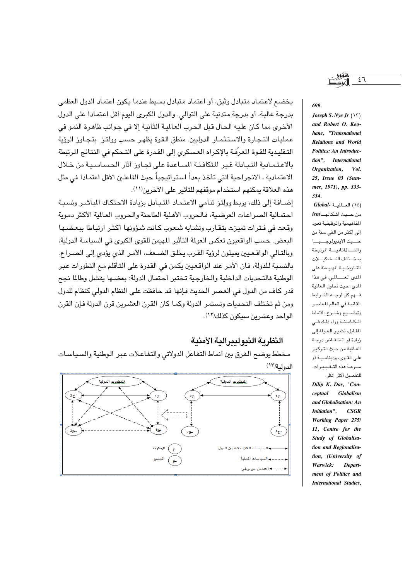يخضع لاعتماد متبادل وثيق، أو اعتماد متبادل بسيط عندما يكون اعتماد الدول العظمى بدرجة عالية، أو بدرجة متدنية على التوالي. والدول الكبرى اليوم أقل اعتمادا على الدول الأخرى مما كان عليه الحال قبل الحرب العالمية الثانية إلا في جوانب ظاهرة النمو في عمليات التجارة والاستثمار الدوليين. منطق القوة يظهر حسب وولتـز بتجـاوز الرؤية التـقليـدية للقـوة المعرّفـة بـالإكـراه العـسكري إلى القـدرة على التـحكم في النتـائـج المرتبطة بالاعتمادية التبادلة غير المتكافئة المساعدة على تجاوز آثار الحساسية من خلال الاعتمادية ـ الانجراحية التي تأخذ بعداً استراتيجياً حيث الفاعلين الأقل اعتمادا في مثل هذه العلاقة يمكنهم استخدام موقفهم للتأثير على الآخرين(١١).

إضـافة إلى ذلك، يربط وولتز تنامي الاعتماد المتبادل بزيادة الاحتكاك المباشـر ونسبـة احتمالية الصراعات العرضية، فالحروب الأهلية الطاحنة والحروب العالمية الأكثر دموية وقعت في فترات تميزت بتقارب وتشابه شعوب كانت شؤونها أكثر ارتباطا ببعضها البعض. حسب الواقعيون تعكس العولة التأثير المهيمن للقوى الكبرى في السياسة الدولية، وبالتـالي الواقـعـيين بمبلون لرؤية القـرب بخلـق الضـعف، الأمـر الذي يؤدي إلى الصـراع. بالنسبة للدولة، فان الأمر عند الواقعيين يكمن في القدرة على التأقلم مع التطورات عبر الوطنية فالتحديات الداخلية والخارجية تختبر احتمال الدولة: بعضها يفشل وطالما نجح قدر كاف من الدول في العصر الحديث فإنها قد حافظت على النظام الدولي كنظام للدول ومن ثم تختلف التحديات وتستمر الدولة وكما كان القرن العشرين قرن الدولة فإن القرن الواحد وعشرين سيكون كذلك(١٢).

### النظرية النيوليبرالية الأمنية

مخطط يوضح الفرق بين أنماط التفاعل الدولاتي والتفاعلات عبر الوطنية والسياسات الدولية(١٣)



699.

Joseph S. Nye Jr  $(YY)$ and Robert O. Keohane, "Transnational **Relations and World** Politics: An Introduction", International Organization, Vol. 25, Issue 03 (Summer, 1971), pp. 333- $334$ 

 $Global-$ العــالميـة (١٤) المفاهيمية والوظيفية تعود إلى أكثر من ألفي سنة من حسيث الايديولوجسيسا والتساذاتانيسة المرتبطة بمختلف التشكيلات التاريخية المهيمنة على المدى العسالمي. في هذا الدى، حيث تحاول العالمية فهم كل أوجه التوابط القائمة في العالم المعاصر وتوضــيع وشــرح الأنماط الكامنة وراء ذلك فى المقابل، تشير العولة إلى زيادة أو انخفاض درجة العالية من حيث التركيز على القوى، ودينامية أو سرعة هذه التغييرات. للتفصيل أكثر انظر:

Dilip K. Das, "Conceptual Globalism and Globalisation: An Initiation".  $CSGR$ Working Paper 275/ 11, Centre for the Study of Globalisation and Regionalisation, (University of Warwick: Department of Politics and **International Studies.** 

 $57$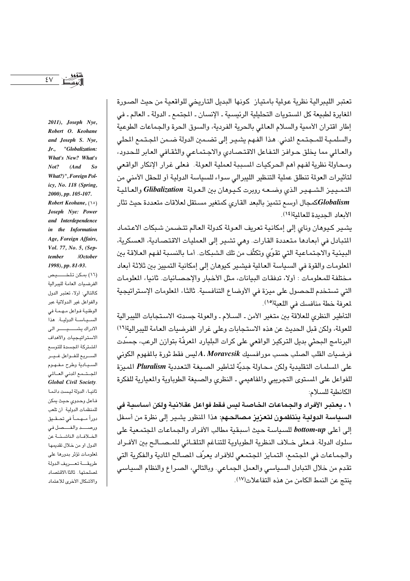تعتبر الليبرالية نظرية عولية بامتياز كونها البديل التاريخي للواقعية من حيث الصورة المغايرة لطبيعة كل المستويات التحليلية الرئيسية ـ الإنسان ـ المجتمع ـ الدولة ـ العالم ـ في إطار اقتران الأممية والسلام العالمي بالحرية الفردية، والسوق الحرة والجماعات الطوعية والسلميـة للمـجـتـمـع المدنى. هـذا الفـهـم يشـيـر إلـى تضـمـين الدولة ضـمن الجـتـمـع المحلى والعالمي مما يخلق حوافز التفاعل الاقتصادي والاجتماعي والثقافي العابر للحدود، ومحاولة نظرية لفهم أهم الحركيات المسببة لعملية العولة. فعلى غرار الإنكار الواقعي لتأثيرات العولة تنطلق عملية التنظير الليبرالي سـواء للسياسة الدولية أو للحقل الأمنى من التمييز الشهير الذى وضعه روبرت كيوهان بين العولة Glibalization والعالمية Globalismكمجال أوسع تتميز بالبعد القارى كمتغير مستقل لعلاقات متعددة حيث تثار الأيعاد الحديدة للعالمة(١٤).

يشير كيوهان وناي إلى إمكانية تعريف العولة كدولة العالم تتضمن شبكات الاعتماد المتبادل في أبعادها متعددة القارات. وهي تشير إلى العمليات الاقتصادية، العسكرية، البيئية والاجتماعية التي تقوِّي وتكثَّف من تلك الشبكات. أما بالنسبة لفهم العلاقة بين المعلومات والقوة في السياسة العالمية فيشير كيوهان إلى إمكانية التمييز بين ثلاثة أبعاد مختلفة للمعلومات : أولا، تدفقات البيانات، مثل الأخبار والإحصائيات. ثانيا، المعلومات التي تستخدم للحصول على ميزة في الأوضاع التنافسية. ثالثا، الملومات الإستراتيجية لمعرفة خطة منافسك في اللعبة(١٥).

التأطير النظري للعلاقة بين متغير الأمن ـ السلام ـ والعولة جسدته الاستجابات الليبرالية للعولة، ولكن قبل الحديث عن هذه الاستجابات وعلى غرار الفرضيات العامة لليبرالية(١٦) البرنامج البحثي بديل التركيز الواقعي على كرات البليارد المعرفّة بتوازن الرعب، جسّدت فرضيات القلب الصلب حسب مورافسيك A. Moravcsik ليس فقط ثورة بالمفهوم الكونى على السلمات التقليدية ولكن محاولة جديّة لتأطير الصيغة التعددية Pluralism الميزة للفواعل على المستوى التجريبي والمفاهيمي ـ النظري والصيغة الطوباوية والمعيارية للفكرة الكانطية للسلام:

١ ـ يعتبر الأفراد والجماعات الخاصة ليس فقط فواعل عقلانية ولكن أساسية في السبياسة الدولية ينتظمون لتعزيز مصالحهم: هذا النظور يشير إلى نظرة من أسفل إلى أعلى bottom-up للسياسة حيث أسبقية مطالب الأفراد والجماعات المجتمعية على سلوك الدولة. فبعلي خلاف النظرية الطوباوية للتناغم التلقيائي للمبصالح بين الأفيراد والجماعات في المجتمع، التمايز المجتمعي للأفراد يعرّف المصالح المادية والفكرية التي تقدم من خلال التبادل السياسي والعمل الجماعي. وبالتالي، الصراع والنظام السياسي ينتج عن النمط الكامن من هذه التفاعلات(١٧).

Robert O. Keohane and Joseph S. Nye,  $Jr_{\cdot}$ "Globalization: What's New? What's  $Not?$  $(And$  So What?)", Foreign Policy, No. 118 (Spring, 2000), pp. 105-107. Robert Keohane, (10) Joseph Nye: Power and Interdependence in the Information Age, Foreign Affairs, Vol. 77, No. 5, (Sep $tember$ /October 1998), pp. 81-93. (١٦) بمكن تلخــــيص الفرضيات العامة لليبرالية كالتالي: أولا، تعتبر الدول والفواعل غير الدولاتية عبر الوطنية فـواعل مـهـمـة في السياسة الدولية. هذا الادراك يشكيك رالى الاستراتيجيات والأهداف الشتركة المسدة للتوسع السريع للفواعل غير السيادية وطرح مفهوم المستسمع المدنى العسالمى **Global Civil Society.** ثانيا، الدولة ليست دائما فاعل وحدوى حيث يمكن للمنظمات الدولية أن تلعب دوراً مــهـمـاً في تحــقــيق

ورصـــد والفـــصل في

الخلافات الناشئة عن

الدول او من خلال تقديمها

لمعلومات تؤثر بدورها على طريقة تعريف الدولة

لملحتها. ثالثا،الاقتصاد

والأشكال الأخرى للاعتماد

 $\S$   $\vee$ 

2011), Joseph Nye,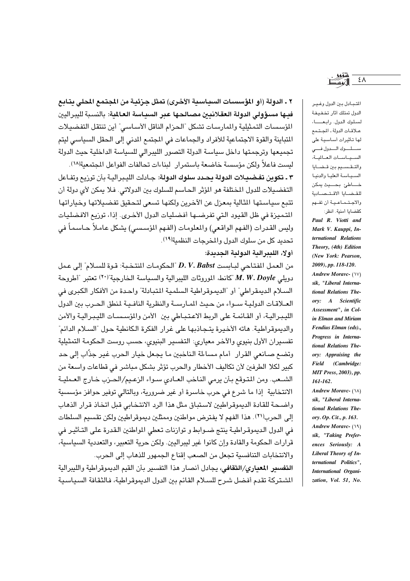٢ ـ الدولة (أو المؤسسات السباسية الأخرى) تمثل جزئية من المجتمع المحلي بتايع فيها مسؤولى الدولة العقلانيين مصالحها عبر السياسة العالمية: بالنسبة لليبراليين المؤسسات التمثيلية والمارسات تشكل "الحزام الناقل الأساسي" أين تنتقل التفضيلات المتباينة والقوة الاجتماعية للأفراد والجماعات في المجتمع المدني إلى الحقل السياسي ليتم تجميعها وترجمتها داخل سياسة الدولة التصور الليبرالي للسياسة الداخلية حيث الدولة لست فاعلاً ولكن مؤسسة خاضعة باستمرار لبناءات تحالفات الفواعل المحتمعية(١٨).

٣ ـ تكوين تفضيلات الدولة بحيد سلوك الدولة: جـادلت الليبراليـة بأن توزيع وتفـاعل التفضيلات للدول المختلفة هو المؤثر الحاسم للسلوك بين الدولاتي. فلا يمكن لأي دولة أن تتبع سياستها الثالية بمعزل عن الآخرين ولكنها تسعى لتحقيق تفضيلاتها وخياراتها اللتميزة في ظل القيود التي تفرضـها أفضليات الدول الأخـري. إذا، توزيع الافضليات وليس القدرات (الفهم الواقعي) والمعلومات (الفهم المؤسسي) يشكل عاملاً حـاسماً في تحديد كل من سلوك الدول والمخرجات النظمية(١٩).

أولا، الليبرالية الدولية الجديدة:

من العمل المفتاحي لبابست D. V. Babst "الحكومات المنتخبة: قوة للسلام" إلى عمل دويلي M. W. Doyle "كانط، الموروثات الليبرالية والسياسة الخارجية"<sup>(٢٠)</sup> تعتبر "أطروحة السلام الديمقراطي" أو "الديموقراطية السلمية المتبادلة" واحدة من الأفكار الكبرى في العلاقات الدولية سواء من حيث المارسة والنظرية النافية لمنطق الحرب بين الدول الليبرالية، أو القائمة على الربط الاعتباطي بين الأمن والمؤسسات الليبرالية والأمن والديموقراطية. هاته الأخيرة يتجاذبها على غرار الفكرة الكانطية حول "السلام الدائم" تفسيران الأول بنيوى والآخر معيارى: التفسير البنيوى، حسب روست الحكومة التمثيلية وتضع صانعي القرار أمام مساءلة الناخبين ما يجعل خيار الحرب غير جذّاب إلى حد كبير لكلا الطرفين لأن تكاليف الأخطار والحرب تؤثر بشكل مباشر في قطاعات واسعة من الشبعب. ومن المتوقع بأن يرمى الناخب العبادي سبواء الزعيم/الحيزب خبارج العبملية الانتخابية إذا ما شرع في حرب خاسرة أو غير ضرورية، وبالتالي توفير حوافز مؤسسية واضحة للقادة الديموقراطيين لاستباق مثل هذا الرد الانتخابي قبل اتخاذ قرار الذهاب إلى الحرب(٢١). هذا الفهم لا يفترض مواطنين وممثلين ديموقراطيين ولكن تقسيم السلطات في الدول الديموقراطية ينتج ضـوابط و توازنات تـعطي المواطنين الـقدرة على التـأثيـر في قرارات الحكومة والقادة وإن كانوا غير لبيراليين. ولكن حرية التعبير ، والتعددية السياسية، والانتخابات التنافسية تجعل من الصعب إقناع الجمهور للذهاب إلى الحرب.

التفسير المعيارى/الثقافي، يجادل أنصار هذا التفسير بأن القيم الديموقراطية والليبرالية الشتركة تقدم أفضل شرح للسلام القائم بين الدول الديموقراطية، فالثقافة السياسية

المتبادل بين الدول وغير الدول تمتلك أثار تخفيفة لسلوك الدول. رابعــا، علاقات الدولة ـ المجتمع لها تأثيرات أساسية على سلوك الدول فى السيساسات العالمية، والتقسيم بين قضايا السياسة العليا والدنيا خساطئ بحسيث يمكن للقضايا الاقتصادية والاجتماعية أن تفهم كقضايا أمنية. انظر:

Paul R. Viotti and Mark V. Kauppi, International Relations Theory, (4th) Edition (New York: Pearson. 2009), pp. 118-120. **Andrew Moravc- (\V)** sik, "Liberal International Relations Theory: A Scientific Assessment", in Colin Elman and Miriam Fendius Elman (eds)., Progress in International Relations Theory: Appraising the Field (Cambridge: **MIT Press**, 2003), pp. 161-162.

Andrew Moravc- (\\) sik, "Liberal International Relations Theory. Op. Cit., p. 163. Andrew Moravc- (١٩) sik, "Taking Preferences Seriously: A Liberal Theory of International Politics", International Organization, Vol. 51, No.

٤٨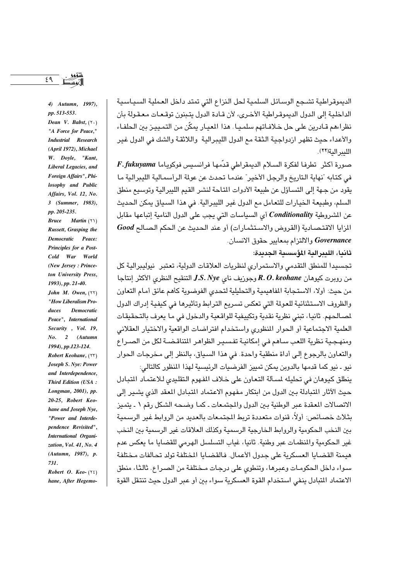٤٩

4) Autumn, 1997), pp. 513-553. Dean V. Babst,  $(7 \cdot)$ "A Force for Peace," **Industrial** Research (April 1972), Michael W. Doyle, "Kant, Liberal Legacies, and Foreign Affairs", Philosophy and Public Affairs, Vol. 12, No. 3 (Summer, 1983), pp. 205-235. **Bruce** Martin  $( Y \setminus )$ Russett, Grasping the **Democratic** Peace: Principles for a Post-Cold War World (New Jersey: Princeton University Press, 1993), pp. 21-40. John M. Owen,  $(55)$ "How Liberalism Pro-**Democratic** duces Peace", International Security, Vol. 19,  $\overline{2}$  $No.$ (Autumn 1994), pp.123-124. Robert Keohane, (٢٣) Joseph S. Nye: Power and Interdependence, **Third Edition (USA:** Longman, 2001), pp. 20-25, Robert Keohane and Joseph Nye, "Power and Interdependence Revisited", International Organization, Vol. 41, No. 4 (Autumn, 1987), p. 731.

Robert O. Keo- $(75)$ hane, After Hegemoالديموقراطية تشجع الوسائل السلمية لحل النزاع التى تمتد داخل العملية السياسية الداخلية إلى الدول الديموقراطية الأخرى، لأن قادة الدول يتبنون توقعات معقولة بأن نظراءهم قـادرين علـى حل خـلافـاتهم سلمـيـا . هذا المعيـار يمكّن من التمـييـز بـين الـحلفـاء والأعداء حيث تظهر ازدواجية الثقة مع الدول الليبرالية ۖ واللاثقـة والشك في الدول غير اللير الية(٢٢).

 $F.fukuyama$  صورة أكثر \_ تطرفـا لفكرة السـلام الديمقراطي قدمهـا فرانسيس فوكوبـاما في كتابه "نهاية التاريخ والرجل الأخير" عندما تحدث عن عولة الرأسمالية الليبرالية ما يقود من جهة إلى التساؤل عن طبيعة الأدوات المتاحة لنشر القيم الليبرالية وتوسيع منطق السلم، وطبيعة الخيارات للتعامل مع الدول غير الليبرالية. في هذا السياق يمكن الحديث عن المشروطية Conditionality أي السياسات التي يجب على الدول النامية إتباعها مقابل المزايا الاقتصادية (القروض والاستثمارات) أو عند الحديث عن الحكم الصالح Good Governance والالتزام بمعايير حقوق الانسان.

## ثانيا، الليبرالية المؤسسية الحديدة:

تجسيدا للمنطق التقدمي والاستمراري لنظريات العلاقات الدولية، تعتبر نيوليبرالية كل من روبرت كيوهان R. O. keohane وجوريف ناي J.S. Nye التنقيح النظري الأكثر إنتاجا من حيث: أولا، الاستحابة المفاهيمية والتحليلية لتحدى الفوضوية كأهم عائق أمام التعاون والظروف الاستثنائية للعولة التي تعكس تسريع الترابط وتأثيرها في كيفية إدراك الدول لصالحهم. ثانيا، تبني نظرية نقدية وتكييفية للواقعية والدخول في ما يعرف بالتحقيقات العلمية الاجتماعية أو الحوار المنظوري واستخدام افتراضات الواقعية والاختيار العقلاني ومنهجية نظرية اللعب ساهم في إمكانية تفسير الظواهر المتناقضـة لكل من الصـراع والتعاون بالرجوع إلى أداة منطقية واحدة. في هذا السبياق، بالنظر إلى مـخرجـات الـحوار نيو ـ نيو كما قدمها بالدوبن يمكن تمييز الفرضيات الرئيسية لهذا المنظور كالتالي:

ينطلق كيوهان في تحليله لمسألة التعاون على خلاف المفهوم التقليدي للاعتماد المتبادل حيث الآثار المتبادلة بين الدول من ابتكار مفهوم الاعتماد المتبادل المعقد الذي يشير إلى الاتصالات المعقدة عبر الوطنية بين الدول والمجتمعات ـ كما وضحه الشكل رقم ١ ـ يتميز بثلاث خصائص: أولاً، قنوات متعددة تربط المجتمعات بالعديد من الروابط غير الرسمية بين النخب الحكومية والروابط الخارجية الرسمية وكذلك العلاقات غير الرسمية بين النخب غير الحكومية والمنظمات عبر وطنية. ثانيا، غياب التسلسل الهرمي للقضايا ما يعكس عدم هيمنة القضايا العسكرية على جدول الأعمال. فالقضايا المختلفة تولد تحالفات مختلفة سواء داخل الحكومات وعبرها، وتنطوى على درجات مختلفة من الصراع. ثالثا، منطق الاعتماد المتبادل ينفي استخدام القوة العسكرية سواء بين أو عبر الدول حيث تنتقل القوة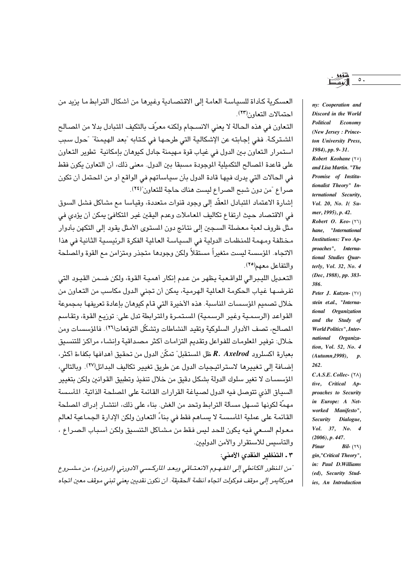العسكرية كأداة للسياسة العامة إلى الاقتصادية وغيرها من أشكال الترابط ما يزيد من احتمالات التعاون(٢٣).

التعاون في هذه الحالة لا يعني الانسـجام ولكنـه معرّف بالتكيف المتبادل بدلا من المصالح الشتركة. ففي إجابته عن الإشكالية التي طرحها في كتابه "بعد الهيمنة" "حول سبب استمرار التعاون بين الدول في غياب قوة مهيمنة جادل كيوهان بإمكانية تطوير التعاون على قاعدة المصالح التكميلية الموجودة مسبقا بين الدول. معنى ذلك، أن التعاون يكون فقط في الحالات التي يدرك فيها قادة الدول بأن سياساتهم في الواقع أو من المحتمل أن تكون صراع "من دون شبح الصراع ليست هناك حاجة للتعاون"(٢٤).

إشارة الاعتماد المتبادل المعقَّد إلى وجود قنوات متعددة، وقياسا مع مشاكل فشل السوق في الاقتصاد حيث ارتفاع تكاليف المعاملات وعدم اليقين غير المتكافئ يمكن أن يؤدي في مثل ظروف لعبة معضلة السجين إلى نتائج دون المستوى الأمثل يقود إلى التكهن بأدوار مختلفة ومهمة للمنظمات الدولية في السياسة العالية الفكرة الرئيسية الثانية في هذا الاتجاه. المؤسسة ليست متغيراً مستقلاً ولكن وجودها متجذر ومتزامن مع القوة والصلحة والتفاعل معهم(٢٥).

التعديل الليبرالي للواقعية يظهر من عدم إنكار أهمية القوة، ولكن ضمن القيود التي تفرضها غياب الحكومة العالمية الهرمية، يمكن أن تجنى الدول مكاسب من التعاون من خلال تصميم المؤسسات الماسبة. هذه الأخيرة التي قام كيوهان بإعادة تعريفها بمجموعة القواعد (الرسمية وغير الرسمية) المستمرة والمترابطة تدل على: توزيع القوة، وتقاسم المصالح، تصف الأدوار السلوكية وتقيد النشاطات وتشكّل التوقعات(٢٦). فالمؤسسات ومن خلال: توفير المعلومات للفواعل وتقديم التزامات أكثر مصداقية وإنشاء مراكز للتنسيق  $\kappa$  . Axelrod حعارة اكسلرود  $R.$  Axelrod ظل المستقبل" تمكّن الدول من تحقيق أهدافها بكفاءة أكثر إضافة إلى تغييرها لاستراتيجيات الدول عن طريق تغيير تكاليف البدائل(٢٧). وبالتالي، المؤسسـات لا تغير سلوك الدولة بشكل دقيق من خلال تنفيذ وتطبيق القوانين ولكن بتغيير السبياق الذي تتوصل فيه الدول لصبياغة القرارات القائمة على المصلحة الذاتية. المأسسة مهمَّة لكونها تسـهل مسـّألة الترابـط وتحد من الغش. بناء على ذلك، انتشـار إدراك المصلحة القائمة على عملية المأسسة لا يساهم فقط في بناءً التعاون ولكن الإدارة الجماعية لعالم معولم السعى فيه يكون للحد ليس فقط من مشاكل التنسيق ولكن أسباب الصراع ، والتأسيس للاستقرار والأمن الدوليين.

٣ ـ التنظير النقدي الأمني:

ّمن المنظور الكانطي إلى المفهوم الانعتـاقي وبعد الماركسـي الادورني (ادورنو)، من مشـروع هوركايمر إلى موقف فوكولت اتجاه أنظمة الحقيقة. أن نكون نقديين يعني تبني موقف معين اتجاه nv: Cooperation and Discord in the World Political Economy (New Jersey: Princeton University Press, 1984), pp. 9-31. Robert Keohane (\*\*) and Lisa Martin. "The Promise of Institutionalist Theory" International Security, Vol. 20, No. 1(Sumer, 1995), p. 42. Robert O. Keo- $(77)$ hane, "International **Institutions: Two Ap-**

proaches", International Studies Quarterly, Vol. 32, No. 4 (Dec, 1988), pp. 383-386.

Peter J. Katzen- (YV) stein et.al., "International Organization and the Study of **World Politics"**, International Organization, Vol. 52, No. 4  $(Autumn. 1998), p.$ 262.

 $C.A.S.E. College. (7\land)$ tive, Critical Approaches to Security in Europe: A Networked Manifesto", Security Dialogue, Vol. 37, No. 4  $(2006)$ , p. 447. **Pinar**  $Bil-$  (٢٩) gin,"Critical Theory", in: Paul D.Williams (ed), Security Studies, An Introduction

 $\circ$ .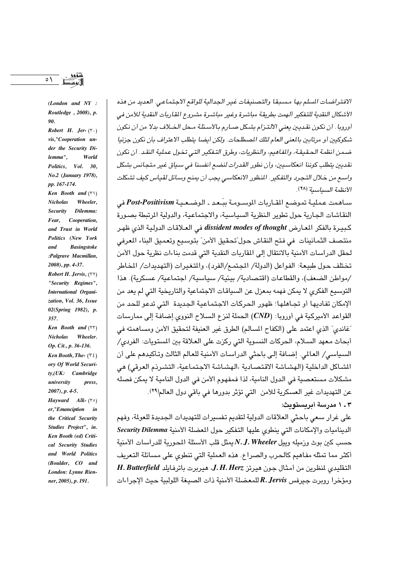$(London \text{ and } NY \text{ : }$ Routledge, 2008), p.  $90<sub>o</sub>$ 

Robert H. Jer- $(\tau \cdot)$ vis,"Cooperation under the Security Dilemma". World Politics, Vol. 30, No.2 (January 1978), pp. 167-174. Ken Booth and  $(5)$ **Nicholas** Wheeler. **Security** Dilemma: Fear, Cooperation, and Trust in World Politics (New York **Basingstoke** and :Palgrave Macmillan. 2008), pp. 4-37. Robert H. Jervis,  $(55)$ "Security Regimes", International Organization, Vol. 36, Issue 02(Spring 1982), p. 357.

Ken Booth and  $(55)$ Nicholas Wheeler. Op. Cit., p. 36-136. Ken Booth, The- $(72)$ ory Of World Security,(UK: Cambridge university press.  $2007$ , p. 4-5. Hayward Alk- $(5)$ er,"Emanciption in the Critical Security Studies Project", in. Ken Booth (ed) Critical Security Studies and World Politics

(Boulder, CO and London: Lynne Rienner, 2005), p. 191.

الافتر اضات السلم بها مسبقا والتصنيفات غير الجدالية للواقع الاجتماعي. العديد من هذه الأشكال النقدية للتفكير ألهمت بطريقة مباشرة وغير مباشرة مشروع المقاربات النقدية للأمن في أوروبا . أن نكون نقديين يعني الالتـزام بشكل صـارم بالأسـئلـة مـحل الـخـلاف بدلا من أن نكون شكوكيين أو مرتابين بالمعنى العام لتلك المصطلحات. ولكن أيضا يتطلب الاعتراف بأن نكون جزئيا ضمن أنظمة الحقيقة، والفاهيم، والنظريات، وطرق التـفكير التـى تخـول عملية النقـد. أن نكون نقدسن بتطلب كوبنا انعكاسيين، وأن نطور القدرات لنضيع أنفسنا في سياق غير متجانس بشكل واسع من خلال التجربه والتفكير. المنظور الانعكاسي يجب أن يمنح وسائل لقياس كيف تشكلت الأنظمة السياسية" (٢٨)

سـاهمت عمليـة تموضع المقـاريات الموسـومـة ببَـعـد ـ الـوضـعـيـة Post-Positivism في النقاشات الجارية حول تطوير النظرية السياسية، والاجتماعية، والدولية المرتبطة بصورة كيبيرة بالفكر المعارض dissident modes of thought في العلاقات الدولية الذي ظهر منتصف الثمانينات في فتح النقاش حول ّتحقيق الأمن" بتوسيع وتعميق البناء المعرفي لحقل الدراسات الأمنية بالانتقال إلى المقاربات النقدية التي قدمت بناءات نظرية حول الأمن تختلف حول طبيعة: الفواعل (الدولة/ المجتمع/الفرد)، والمتغيرات (التهديدات/ المخاطر /مواطن الضعف)، والقطاعات (اقتصادية/ بيئية/ سياسية/ اجتماعية/ عسكرية). هذا التوسيع الفكري لا يمكن فهمه بمعزل عن السياقات الاجتماعية والتاريخية التي لم يعد من الإمكان تفاديها أو تجاهلها؛ ظهور الحركات الاجتماعية الجديدة التي تدعو للحد من القواعد الأميركية في أوروبا: (CND) الحملة لنزع السلاح النووي.إضافة إلى ممارسات "غاندي" الذي اعتمد على (الكفاح المسالم) الطرق غير العنيفة لتحقيق الأمن ومساهمته فى أبحاث معهد السلام، الحركات النسوية التي ركزت على العلاقة بين المستويات: الفردي/ السياسي/ العالمي. إضافة إلى باحثى الدراسات الأمنية للعالم الثالث وتأكيدهم على أن الشباكل الداخلية (الهشباشة الاقتصادية ،الهشباشة الاجتماعية، التشريدم العرقي) هي مشكلات مستعصية في الدول النامية، لذا فمفهوم الأمن في الدول النامية لا يمكن فصله عن التهديدات غير العسكرية للأمن التي تؤثر بدورها في باقي دول العالم(٢٩). ۰ ـ ۱ مدرسة أبريستويث:

على غرار سعى باحثى العلاقات الدولية لتقديم تفسيرات للتهديدات الجديدة للعولة، وفهم الديناميات والإمكانات التي ينطوى عليها التفكير حول المعضلة الأمنية Security Dilemma حسب كبن بوث وزميله وبيل N. J. Wheeler ممثل قلب الأسئلة المجورية للدر اسات الأمنية أكثر مما تمثله مفاهيم كالحرب والصراع. هذه العملية التي تنطوي على مسائلة التعريف التقليدي لنظرين من أمثال جون هيرتز J. H. Herz، هيربرت باترفايلد H. Butterfield ومؤخرا روبرت جيرفس R. Jervis للمعضلة الأمنية ذات الصيغة اللولبية حيث الإجراءات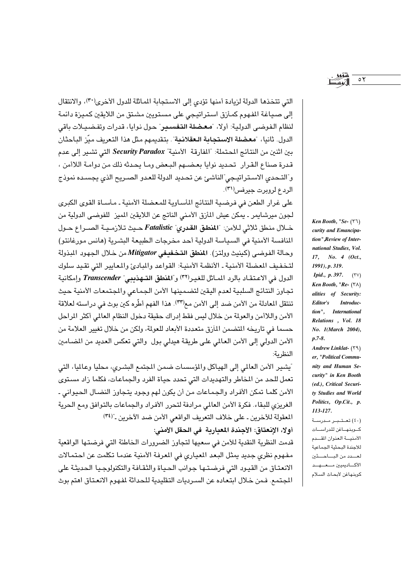التي تتخذها الدولة لزيادة أمنها تؤدي إلى الاستجابة الماثلة للدول الأخرى(٣٠)، والانتقال إلى صـيـاغـة المفـهوم كمـأزق اسـتراتيجي على مسـتويين مشـتق من الـلايقين كمـيـزة دائمـة لنظام الفوضى الدولية: أولا، "**معضلة التفسير**" حول نوايا، قدرات وتفضيلات باقى الدول. ثانيا، "معضلة الاستجابة الـعقلانية". بتقديمهم مثل هذا التعريف ميّز الباحثان بين اثنين من النتائج المحتملة: "المفارقة الأمنية" Security Paradox التي تشير إلى عدم قدرة صناع القرار تحديد نوايا بعضهم البعض وما يحدثه ذلك من دوامة اللاأمن ، و"التـحدي الاسـتراتيـجي"الناشـئ عن تحـديد الدولة للعـدو الصـريح الذي يجسـده نموذج الردع لرويرت جيرفس(٣١).

على غرار الطعن في فرضية النتائج المأساوية للمعضلة الأمنية ـ مأساة القوى الكبرى لجون ميرشايمر ـ يمكن عيش المأزق الأمنى الناتج عن اللايقين المميز للفوضى الدولية من خـلال منطق ثلاثي للأمن: "المنطق القدري" Fatalistic حـيث تلازمـيـة الصـراع حـول النافسة الأمنية في السياسة الدولية أحد مخرجات الطبيعة البشرية (هانس مورغانتو) وحالة الفوضي (كينيث وولتر). المنطق التخفيفي Mitigator من خلال الجهود المبذولة لتخفيف المعضلة الأمنية ـ الأنظمة الأمنية: القواعد والمبادئ والمعايير التي تقيد سلوك الدول في الاعتقاد بالرد المـاثل للغيـر<sup>(٣٢)</sup> و"المنطق التـهذيبي" *Transcender* وإمكانية تجاوز النتائج السلبية لعدم اليقين لتضمينها الأمن الجماعي والجتمعات الأمنية حيث تنتقل المعادلة من الأمن ضد إلى الأمن مع(٣٣). هذا الفهم أطِّره كين بوث في دراسته لعلاقة الأمن واللاأمن والعولة من خلال ليس فقط إدراك حقيقة دخول النظام العالمي أكثر المراحل حسما في تاريخه المتضمن المآرق متعددة الأبعاد للعولة، ولكن من خلال تغيير العلامة من الأمن الدولي إلى الأمن العالمي على طريقة هيدلي بول والتي تعكس العديد من المضامين النظرية:

"يشير الأمن العالمي إلى الهياكل والمؤسسات ضمن المجتمع البشري، محليا وعالميا، التي تعمل للحد من المخاطر والتهديدات التي تحدد حياة الفرد والجماعات، فكلما زاد مستوى الأمن كلما تمكن الأفراد والجماعات من أن يكون لهم وجود يتجاوز النضال الحيواني ـ الغريزى للبقاء. فكرة الأمن العالمي مرادفة لتحرر الأفراد والجماعات بالتوافق ومع الحرية المعقولة للآخرين ـ على خلاف التعريف الواقعي الأمن ضد الآخرين ـ"(٣٤)

أولا، الإنعتاق: الأجندة المعيارية ً في الحقل الأمني:

قدمت النظرية النقدية للأمن في سعيها لتجاوز الضرورات الخاطئة التي فرضتها الواقعية مفهوم نظري جديد يمثل البعد المعياري في المعرفة الأمنية عندما تكلمت عن احتمالات الانعتاق من القيود التي فرضتها جوانب الحياة والثقافة والتكنولوجيا الحديثة على المجتمع. فمن خلال ابتعاده عن السـرديات التقليدية للحداثة لمفهوم الانعـتاق اهتم بوث

Ken Booth, "Se- (٣٦) curity and Emancipation" Review of International Studies, Vol. 17, No. 4 (Oct., 1991), p. 319. *Ipid., p.* 397.  $(7V)$ Ken Booth, "Re- $(\Upsilon \wedge)$ alities of Security: Editor's Introduction", International Relations, Vol. 18 No. 1(March 2004),  $p.7-8.$ Andrew Linklat- (٣٩) er, "Political Community and Human Security" in Ken Booth (ed.), Critical Securi-

 $\circ \tau$ 

ty Studies and World Politics, Op.Cit., p. 113-127. (٤٠) تعتبر مدرسة كوبنهاغن للدراسات الأمنية العنوان المقدم للأجندة البحثية الجماعية لعسدد من الباحشين الأكاديميين مسعسهسد كوبنهاغن لأبحاث السلام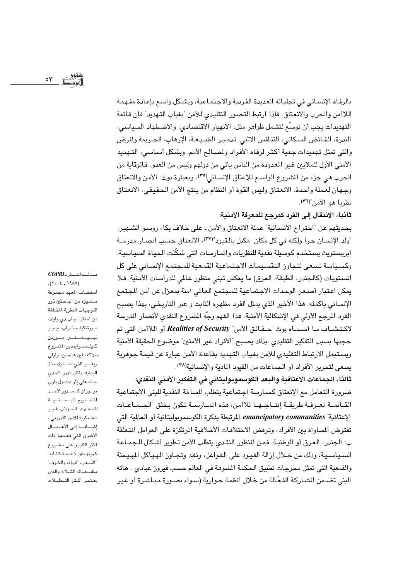$\circ \tau$ 

بالرفاه الإنسـاني في تجليـاته العديدة الفردية والاجـتمـاعية، وبشـكل واسـع بإعـادة مفـهمـة اللاأمن والحرب والانعتاق. فإذا ارتبط التصور التقليدي للأمن "بغياب التهديد" فإن قائمة التهديدات يجب أن توسِّع لتشمل ظواهر مثل: الانهيار الاقتصادي، والاضطهاد السياسي، الندرة، الفـائض السـكاني، التنـافس الاثني، تـدمـيـر الطبـيـعـة، الإرهـاب، الـجـريمة والمرض والتي تمثل تهديدات جدية أكثـر لرفـاه الأفـراد ولصـالـع الأمم. وبشكل أسـاسـي، التـهديد الأمني الأول للملايين غير المعدودة من الناس يأتي من دولهم وليس من العدو. فالوقاية من الحرب هي جزء من المشروع الواسم للإعتاق الإنساني(٣٥)، وبعبارة بوث: الأمن والانعتاق وجهان لعملة واحدة. الانعتاق وليس القوة أو النظام من ينتج الأمن الحقيقي. الانعتاق نظريا هو الأمن"(٣٦).

ثانيا، الانتقال إلى الفرد كمرجع للمعرفة الأمنية:

بحديثهم عن "اختراع الانسـانية" عملة الانعتاق والأمن ـ على خلاف بكاء روسـو الشـهير: "ولد الإنسـان حرا ولكنه في كل مكان مكبل بالقيود"(٣٧)، الانعتاق حسب أنصـار مدرسـة ابريستويث يستخدم كوسيلة نقدية للنظريات والمارسات التى شكّلت الحياة السياسية، وكسياسة تسعى لتجاوز التقسيمات الاجتماعية القمعية للمجتمع الإنساني على كل المستويات (كالجندر، الطبقة، العرق) ما يعكس تبني منظور عالمي للدراسات الأمنية. فلا يمكن اعتبار أصغر الوحدات الاجتماعية للمجتمع العالمي آمنة بمعزل عن أمن المجتمع الإنساني بأكمله. هذا الأخير الذي يمثل الفرد مظهره الثابت و عبر التاريخي، بهذا يصبح الفرد المرجع الأولى في الإشكالية الأمنية. هذا الفهم وجِّه المشروع النقدي لأنصار المدرسة لاكتشــاف مــا أســمــاه بوث "حــقـائق الأمن" Realities of Security أو اللاأمن التي تم حجبها بسبب التفكير التقليدي. بذلك يصبح "الأفراد غير الآمنين" موضوع الحقيقة الأمنية ويستبدل الارتباط التقليدى للأمن بغياب التهديد بقاعدة الأمن عبارة عن قيمة جوهرية يسعى لتحرير الأفراد أو الجماعات من القيود المادية والإنسانية(٣٨).

ثالثا، الجماعات الاعتاقية والبعد الكوسموبوليتاني في التفكير الأمني النقدي: ضرورة التعامل مع الإنعتاق كممارسة اجتماعية يتطلب الساءلة النقدية للبنى الاجتماعية القــائمــة لمعـرفـة طريقــة إنتــاجــهــا للاأمن، هذه المــارســة تكون بـخلق "الجــمـاعــات الإعتاقية" emancipatory communities المرتبطة بفكرة الكوسموبوليتانية أو العالمية التي تفترض المساواة بين الأفراد، وترفض الاختلافات الأخلاقية المرتكزة على العوامل المتعلقة ب: الحندر ، العرق أو الوطنية. فمن المظور النقدي بتطلب الأمن تطوير أشكال للجمـاعة السـيـاسـيـة، وذلك من خـلال إزالة القيـود على الـفـواعل، ونـقد وتجـاوز الـهـيـاكل المهـيـمنة والقمعية التي تمثل مخرجات تطبيق الحكمة المشوهة في العالم حسب فيروز عبادى . هاته البني تضـمن الشـاركة الفعّالة من خـلال أنظمة حـوارية (سـواء بصـورة مبـاشـرة أو غير

بالدانماركCOPRI  $(5.19A)$ استضاف المعهد مجموعة متميزة من الباحثين ذوو التوجهات النظرية المختلفة من أمثال: جاب دي وايلد، مورتنكيلستراب، بيير ليسيسمستسر مسورتن كيلسترابمدير الشروع منذ٥٣، لين هانسىن، واولى ويفر الذي شارك منذ البداية، ولكن الدور الجدي جاء على إثر دخول باري بيوزان كمسدير لأحد المشاريع البحشية للمعهد: الجوانب غير العسكرية للأمن الأوروبي"، إضافة إلى الأعمال الأخرى التى قدمها ذات الأثر الكبير على مشروع كوبنهاغن خاصة كتابه: "الشعب، الدولة، والخوف" بطبعاته الشلاث والذى يعتبر أكثر التحليلات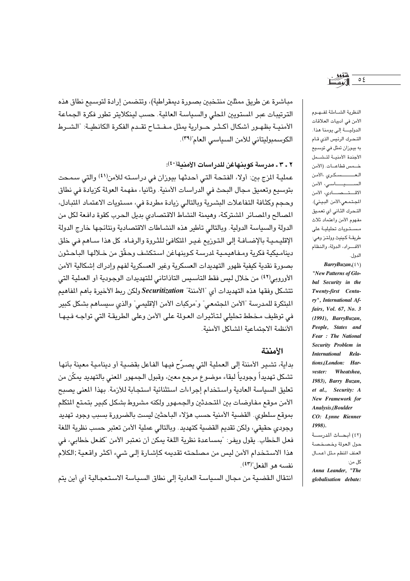مباشرة عن طريق ممثلين منتخبين بصورة ديمقراطية)، وتتضمن إرادة لتوسيع نطاق هذه الترتيبات عبر المستويين المطى والسياسة العالية. حسب لينكلايتر تطور فكرة الجماعة الأمنيــة بظهـور أشكال أكـثـر حـوارية يمثل مـفـتـاح تقـدم الفكرة الكانطيـة: "الشـرط الكوسمبوليتاني للأمن السياسي العام"(٣٩).

# ٢ ـ ٣ ـ مدرسة كوينهاغن للدراسات الأمنية(٤٠):

عملية المزج بين: أولا، الفتحة التي أحدثها بيوزان في دراسته للأمن(٤١) والتي سمحت بتوسيع وتعميق مجال البحث في الدراسات الأمنية. وثانيا، مفهمة العولة كزيادة في نطاق وحجم وكثافة التفاعلات البشرية وبالتالي زيادة مطردة في، مستويات الاعتماد المتبادل، المصالح والمصائر الشتركة، وهيمنة النشاط الاقتصادي بديل الحرب كقوة دافعة لكل من الدولة والسياسة الدولية. وبالتالي تأطير هذه النشاطات الاقتصادية ونتائجها خارج الدولة الإقليمية بالإضافة إلى التوزيع غير المتكافئ للثروة والرفاه. كل هذا سـاهم في خلق ديناميكية فكرية ومفاهيمية لدرسة كوينهاغن استكشف وحقّق من خـلالها الباحثون بصورة نقدية كيفية ظهور التهديدات العسكرية وغير العسكرية لفهم وإدراك إشكالية الأمن الأوروبي(٤٢) من خلال ليس فقط التأسيس التاذاتاني للتهديدات الوجودية أو العملية التي تتشكل وفقها هذه التهديدات أي "الأمننة" Securitization ولكن ربط الأخيرة بأهم المفاهيم المبتكرة للمدرسة "الأمن المجتمعي" و"مركبات الأمن الإقليمي" والذي سيساهم بشكل كبير في توظيف مخطط تحليلي لتأثيرات العولة على الأمن وعلى الطريقة التي تواجه فيها الأنظمة الاحتماعية المشاكل الأمنية.

#### الأمننة

بداية، تشير الأمننة إلى العملية التي يصرِّح فيها الفاعل بقضية أو دينامية معينة بأنها تشكل تهديداً وجودياً لبقاء موضوع مرجع معين، وقبول الجمهور المعنى بالتهديد يمكّن من تعليق السياسة العادية واستخدام إجراءات استثنائية استجابة للأزمة. بهذا المعنى يصبح الأمن موقع مفاوضات بين المتحدثين والجمهور ولكنه مشروط بشكل كبير بتمتع المتكلم بموقع سلطوى. القضية الأمنية حسب هؤلاء الباحثين ليست بالضرورة بسبب وجود تهديد وجودي حقيقي، ولكن تقديم القضية كتهديد. وبالتالي عملية الأمن تعتبر حسب نظرية اللغة فعل الخطاب. يقول ويفر: "بمساعدة نظرية اللغة يمكن أن نعتبر الأمن "كفعل خطابي، في هذا الاستخدام الأمن ليس من مصلحته تقديمه كإشارة إلى شيء أكثر واقعية ;الكلام نفسه هو الفعل"(٤٣).

انتقال القضية من مجال السياسة العادية إلى نطاق السياسة الاستعجالية أي أين يتم

النظرية الشاملة لمف وم الأمن في أدبيات العلاقات الدولية إلى يومنا هذا. التحرك الرئيس الذي قام به بیوزان تمثل فی توسیع الأجندة الأمنيــة لتـشــمل خصمس قطاعات. (الأمن العسسسسكري ،الأمن السيسيساسي، الأمن الاقتصادي، الأمن المجتمعي،الأمن البيئي). التحرك الثاني أي تعميق مفهوم الأمن واعتماد ثلاث مستويات تحليلية على طريقـة كـينيث وولتـز وهي: الأفراد، الدولة، والنظام الدول.

 $\circ$  {

 $BarryBuzan, (\xi \setminus)$ 

"New Patterns of Global Security in the Twenty-first Century", International Affairs, Vol. 67, No. 3 (1991), BarryBuzan, People, States and Fear: The National Security Problem in International Relations,(London: Harvester: Wheatshea, 1983), Barry Buzan, et al., Security: A New Framework for Analysis, (Boulder CO: Lynne Rienner 1998).

(٤٢) أيجاث المدرسة حول العولة وخصخصة العنف المنظم مثل أعمـال كل من: Anna Leander, "The

globalisation debate: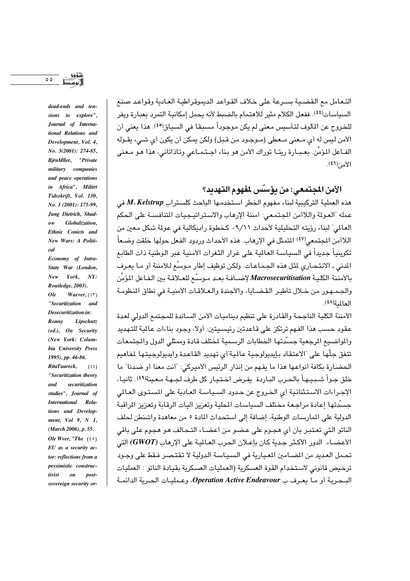التعامل مع القضيبة بسيرعة على خلاف القواعد الديموقر اطبة العادية وقواعد صنع السياسات(٤٤). ففعل الكلام مثير للاهتمام بالضبط لأنه يحمل إمكانية التمرد بعبارة ويفر للخروج عن المألوف لتأسيس معنى لم يكن موجوداً مسبقا في السياق<sup>(٤٥)</sup>. هذا يعني أن الأمن ليس له أي مـعنى مـعطى (مـوجـود من قـبل) ولكن يمكن أن يكون أي شـيء يقـوله الفــاعل المؤمِّن. بعــبــارة ريتــا توراك الأمن هو بـناء اجــتـمــاعي وتـاذاتاني، هذا هـو مـعني  $\mathbb{R}^{(1)}$ الأمن (13).

الأمن المجتمعي: من يؤسِّس لمفهوم التهديد؟

هذه العملية التركيبية لبناء مفهوم الخطر استخدمها الباحث كلستراب M. Kelstrup في عمله "العولة واللاأمن المجتمعي: أمننة الإرهاب والاستراتيجيات المتنافسية على الحكم العالمي" لبناء رؤيته التحليلية لأحداث ٩/١١. كخطوة راديكالية في عولمة شكل معين من اللاأمن المجتمعي<sup>(٤٧)</sup> المتمثل في الإرهاب. هذه الأحداث وردود الفعل حولها خلقت وضعاً تكوينياً جديداً في السياسة العالمية على غرار الثغرات الأمنية عبر الوطنية ذات الطابع المدنى ـ الانتحـاري لمثل هذه الجـمـاعـات. ولكن توظيف إطار مـوسِّع لـلأمننة أو مـا يعـرف بالأمننة الكليـة Macrosecuritisation لإضــافـة بعـد مـوسـّع للعــلاقـة بين الـفـاعل المؤمِّن والحمهور من خلال تأطير القضبابا، والأحندة والعلاقات الأمنية في نطاق المنظومة العالمية (٤٨).

الأمننة الكلية الناجحة والقادرة على تنظيم ديناميات الأمن السـائدة للمجتمع الدولي لعدة عقود حسب هذا الفهم ترتكز على قاعدتين رئيسيتين: أولا، وجود بناءات عالمية للتهديد والمواضيع الرجعية جسدتها الخطابات الرسمية لختلف قادة وممثلى الدول والجتمعات تتفق جلّها على "الاعتقاد بإيديولوجية عالمية"أي تهديد القاعدة وايديولوجيتها لمفاهيم الحضارة بكافة أنواعها هذا ما يفهم من إنذار الرئيس الأميركي: "أنت معنا أو ضدنا" ما خلق جـواً شـبـيـهـاً بالـحـرب البـاردة يفـرض اخـتـيـار كل طرف لجـهـة مـعـينة(٤٩). ثانيـا، الإجراءات الاستثنائية أي الخروج عن حدود السياسة العادية على المستوى العالمي جسِّدتها إعادة مراجعة مختلف السياسات المطية وتعزيز أليات الرقابة وتعزيز الراقبة الدولية على المارسات الوطنية، إضافة إلى استحداث المادة ٥ من معاهدة واشنطن لحلف الناتو التي تعتبر بأن أي هجوم على عضو من أعضـاء التـحـالف هـو هجوم على باقي الأعضـاء. الدور الأكـثر حـدية كان بإعـلان الحرب العـالمـة على الإرهاب (GWOT) التي تحمل العديد من المضامين المعيارية في السياسة الدولية لا تقتصر فقط على وجود ترخيص قانوني لاستخدام القوة العسكرية (العمليات العسكرية بقيادة الناتو : العمليات البيجرية أو ما يعرف ب Operation Active Endeavour، وعمليات الجرية الدائمية

sions to explore", Journal of International Relations and Development, Vol. 4. No. 3(2001): 274-85, BjrnMller, "Private military companies and peace operations in Africa", Militrt Tidsskrift, Vol. 130. No. 3 (2001): 175-99, Jung Dietrich, Shad-**Globalization**  $\omega$ Ethnic Conicts and New Wars: A Political Economy of Intra-State War (London, York. NY:  $New$ Routledge, 2003).  $Ole$ Waever,  $(57)$ "Securitization and Desecuritization.in: Ronny Lipschutz  $(ed.),$  On Security (New York: Columbia University Press 1995), pp. 46-86. RitaTaureck.  $(55)$ "Securitization theory and securitization studies", Journal of International Relations and Development, Vol 9, N 1, (March 2006), p. 55. Ole Wver, "The  $(50)$ EU as a security actor: reflections from a pessimistic construc- $\boldsymbol{on}$ tivist postsovereign security or-

 $\circ$ 

dead-ends and ten-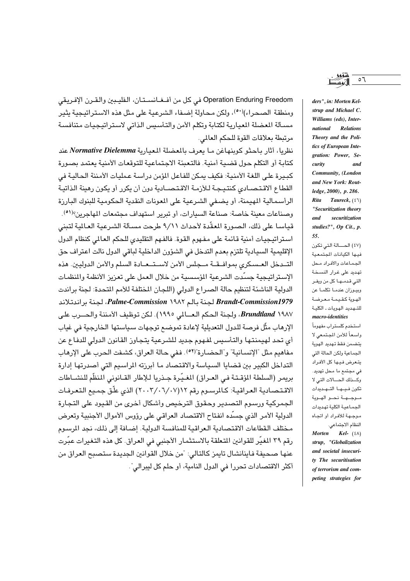Operation Enduring Freedom في كل من أفلغانستان، الفليبين والقرن الإفريقي ومنطقة الصحراء)(٥٠)، ولكن محاولة إضـفاء الشرعية على مثل هذه الاسـتراتيجية يثير مسئلة المضلة الميارية لكتابة وتكلم الأمن والتأسيس الذاتي لاستراتيجيات متنافسة مرتبطة بعلاقات القوة للحكم العالمي.

نظريا، أثار باحثو كوينهاغن ما يعرف بالمغضلة المعيارية Normative Dielemma عند كتابة أو التكلم حول قضية أمنية. فالتعيئة الاحتماعية للتوقعات الأمنية بعتمد بصورة كبيرة على اللغة الأمنية: فكيف يمكن للفاعل المؤمن دراسة عمليات الأمننة الحالية في القطاع الاقتصادي كنتيجة للأزمة الاقتصادية دون أن يكرر أو يكون رهينة الذاتية الرأسمالية المهيمنة، أو يضفي الشرعية على المعونات النقدية الحكومية للبنوك البارزة وصناعات معينة خاصة: صناعة السيارات، أو تبرير استهداف مجتمعات المهاجرين؟(٥١). قياسا على ذلك، الصورة المعقِّدة لأحداث ٩/١١ طرحت مسبَّلة الشرعية العالمة لتبني استراتيجيات أمنية قائمة على مفهوم القوة. فالفهم التقليدي للحكم العالمي كنظام الدول الإقليمية السيادية تلتزم بعدم التدخل في الشؤون الداخلية لباقي الدول نالت اعتراف حق التـدخل العـسكري بموافـقـة مـجلس الأمن لاسـتـعـادة السلم والأمن الدوليين. هذه الإستراتيجية جسّدت الشرعية المؤسسية من خلال العمل على تعزيز الأنظمة والمنظمات الدولية الناشئة لتنظيم حالة الصراع الدولي (اللجان المختلفة للأمم المتحدة: لجنة براندت Brandt-Commission1979 لجنة بالم ١٩٨٢ Palme-Commission، لجنة براندتلاند Brundtland ۱۹۸۷، ولجنة الحكم العــالمي ١٩٩٥). لكن توظيف الأمننة والحــرب على الإرهاب مثَّل فرصة للدول التعديلية لإعادة تموضـع توجهات سـياستها الخارجية في غياب أي تحد لهيمنتها والتأسيس لفهوم جديد للشرعية يتجاوز القانون الدولي للدفاع عن مفاهيم مثل "الإنسانية" و"الحضارة"(٥٢). ففي حالة العراق، كشفت الحرب على الإرهاب التداخل الكبير بين قضايا السياسة والاقتصاد ما أبرزته المراسيم التي أصدرتها إدارة بريمر (السلطة المؤقــتـة فـي العــراق) المغـيّـرة جــذريا لـلإطار القــانوني المنظّم للنشــاطات الاقتصادية العراقية: كالمرسوم رقم ١٢(٦/٠٧/٠٧) الذي علّق جميع التعرفات الجمركية ورسوم التصدير وحقوق الترخيص وأشكال أخرى من القيود على التجارة الدولية الأمر الذي جسّده انفتاح الاقتصاد العراقي على رؤوس الأموال الأجنبية وتعرض مختلف القطاعات الاقتصادية العراقية للمنافسة الدولية. إضافة إلى ذلك، نجد المرسوم رقم ٣٩ المغيِّر للقوانين المتعلقة بالاستثمار الأجنبي في العراق. كل هذه التغيرات عبِّرت عنها صحيفة فاينانشال تايمز كالتالي: "من خلال القوانين الجديدة ستصبح العراق من أكثر الاقتصادات تحررا في الدول النامية، أو حلم كل لبيرالي".

ders", in: Morten Kelstrup and Michael C. Williams (eds), Inter-Relations national Theory and the Politics of European Integration: Power, Security and Community, (London and New York: Routledge, 2000), p. 286. Rita Taureck,  $(27)$ "Securitization theory securitization and studies?", Op Cit., p. 55.

(٤٧) الحسالة التي تكون فيها الكيانات المتمعية الجماعات والأفراد محل تهديد على غرار النسخة التي قدمها كل من ويفر وبيوزان عندما تكلما عن الهوية كقيمة معرضة للتهديد الهويات ـ الكلية  $macro\mbox{-}identities$ 

استخدم كلستراب مفهوماً واسعاً للأمن المجتمعي لا يتضمن فقط تهديد الهوية الجماعية ولكن الحالة التى يتعرض فيها كل الأفراد فی مجتمع ما محل تهدید. وكـذلك الحـالات التي لا تكون فيها التهديدات موجهة نحو الهوية الجماعية الكلية تهديدات موجهة للأفراد أو اتجاه النظام الاجتماعي.

**Morten**  $Kel-$  (  $\lambda$  ) strup, "Globalization and societal insecurity The securitisation of terrorism and competing strategies for

 $\circ$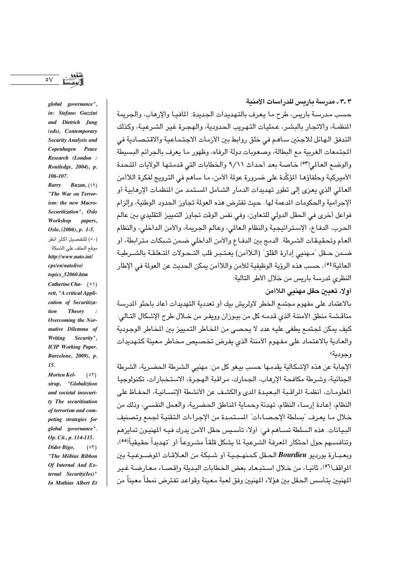حسب مدرسة باريس، طرح ما يعرف بالتهديدات الجديدة: المافيا والإرهاب، والجريمة المنظمـة، والاتجـار بالبشـر، عـمليـات التـهـريب الـحدودية، والـهـجـرة غير الشـرعيـة، وكذلك التدفق الـهائل للاجئين سـاهـم في خلق روابط بين الأزمـات الاجـتـمـاعيـة والاقتـصـادية في المجتمعات الغربية مع البطالة، وصعوبات دولة الرفاه، وظهور ما يعرف بالجرائم البسيطة والوضع العالم (٥٣) خاصة بعد أحداث ٩/١١ والخطابات التي قدمتها الولايات المتحدة الأميركية وحلفاؤها المؤكِّدة على ضرورة عولة الأمن، ما ساهم في الترويج لفكرة اللاأمن العالمي الذي يعزي إلى تطور تهديدات الدمار الشامل المستمد من المنظمات الإرهابية أو الإحرامية والحكومات المدعمة لها . حيث تفترض هذه العولة تحاوز الحدود الوطنية، والزام فواعل أخرى في الحقل الدولي للتعاون، وفي نفس الوقت تجاوز التمييز التقليدي بين عالم الحرب، الدفاع، الإستراتيجية والنظام العالم، وعالم الجريمة، والأمن الداخلي، والنظام العام وتحقيقات الشرطة. الدمج بين الدفـاع والأمن الداخلي ضـمن شـبكات مـترابطة، أو ضـمن حـقل "مـهنبي إدارة القلق" (الـلاأمن) يعتـبـر قلب التـحـولات المتعلقـة بالشـرطيـة العالمية(٥٤)، حسب هذه الرؤية الوظيفية للأمن واللاأمن يمكن الحديث عن العولة في الإطار النظري لمرسة باريس من خلال الأطر التالية:

أولا، تعيين حقل مهنيي اللاأمن

بالاعتماد على مفهوم مجتمع الخطر لاولريش بيك أو تعددية التهديدات أعاد باحثو المدرسة مناقشـة منطق الأمننة الذي قدمـه كل من بيـوزان وويفـر من خـلال طرح الإشكال التـالي: كيف يمكن لجتمع يطغي عليه عدد لا يحصى من الخاطر التمييز بين الخاطر الوجودية والعادية بالاعتماد على مفهوم الأمننة الذي يفرض تخصيص مخاطر معينة كتهديدات وحودية؟

الإجابة عن هذه الإشكالية يقدمها حسب بيغو كل من: مهنيي الشرطة الحضرية، الشرطة الحنائية، وشرطة مكافحة الإرهاب، الجمارك، مراقبة الهجرة، الاستخبارات، تكنولوجيا المعلومـات، أنظمـة المراقـبـة البـعيـدة المدى والكشف عن الأنشطة الإنسـانيـة، الـحفـاظ على النظام، إعادة إرساء النظام، تهدئة وحماية المناطق الحضرية، والعمل النفسي، وذلك من خلال مـا يعـرف "بسلطة الإحـصـاءات" المسـتمـدة من الإجـراءات الـتقنيـة لـجمع وتصنيف البيانات. هذه السلطة تسـاهم في: أولا، تأسـيس حقل الأمن يدرك فيـه المهنيـون تمايزهم وتنافسهم حول احتكار المعرفة الشرعية لما يشكل قلقاً مشروعاً أو تتهديداً حقيقياً(09)، وبعبـارة بورديو Bourdieu الحـقل كـمـنهـجـيـة أو شـبكة من العـلاقـات الموضــوعـيـة بين اللواقف(٥٦)، ثانيـا، من خلال اسـتبـعـاد بعض الخطابات البـديلة وإقصـاء معـارضـة غـير المهنيين يتـأسس الـحقل بين هؤلاء المهنيين وفق لعبة مـعينة وقواعد تفترض نمطاً معيناً من

in: Stefano Guzzini and Dietrich Jung (eds), Contemporary Security Analysis and Copenhagen Peace Research (London: Routledge, 2004), p. 106-107.

global governance",

Buzan,  $(29)$ **Barry** "The War on Terrorism: the new Macro-Securitization", Oslo Workshop papers, Oslo, (2006), p. 1-5. (٥٠) للتفصيل أكثر انظر .<br>موقع الحلف على الشبكة: http://www.nato.int/ cns/en/natolive/ topics\_52060.htm Catherine Cha- $(0)$ 

rett, "A critical Application of Securitization **Theory** Overcoming the Normative Dilemma of Writing Security", **ICIP** Working Paper. Barcelone, 2009), p. 15.

Morten Kel- $(0 1)$ strup, "Globaliztion and societal insecurity The securitisation of terrorism and competing strategies for global governance". Op. Cit., p. 114-115. Dider Bigo,  $(05)$ "The Möbius Ribbon Of Internal And External Security(Ies)" In Mathias Albert Et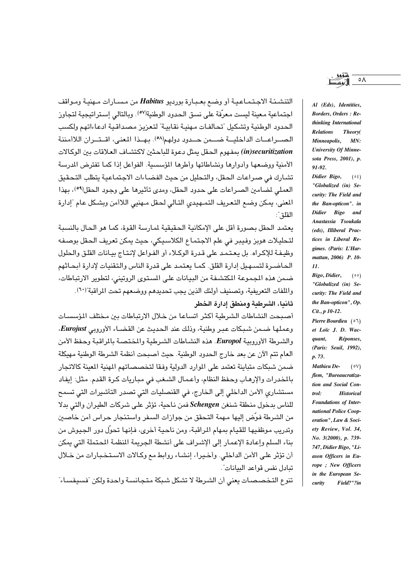التنشئة الاجتماعية أو وضع بعبارة بورديو Habitus من مسارات مهنية ومواقف اجتماعية معينة ليست معرّفة على نسق الحدود الوطنية<sup>(٥٧)</sup>. وبالتالي إستراتيجية لتجاوز الحدود الوطنية وتشكيل "تحالفات مهنية نقابية" لتعزيز مصداقية ادعاءاتهم ولكسب الصــراعــات الداخليـــة ضـــمن حــدود دولهم(٥٨). بـهــذا المعنى، اقــتــران اللاأمننة in)securitization) بمفهوم الحقل يمثل دعوة للباحثين لاكتشـاف العلاقات بين الوكالات الأمنية ووضعها وأدوارها ونشاطاتها وأطرها المؤسسية. الفواعل اذا كما تفترض المدرسة تشارك في صراعات الحقل، والتحليل من حيث الفضاءات الاجتماعية يتطلب التحقيق العملي لمصامين الصراعات على حدود الحقل، ومدى تأثيرها على وجود الحقل(٥٩)، بهذا المعنى، يمكن وضع التعريف التمهيدي التالي لحقل مهنيي اللاأمن وبشكل عام "إدارة القلق":

يعتمد الحقل بصورة أقل على الإمكانية الحقيقية لمارسة القوة، كما هو الحال بالنسبة لتحليلات هويز وفيبر في علم الاجتماع الكلاسيكي، حيث يمكن تعريف الحقل بوصفه وظيفة للإكراه. بل يعتمد على قدرة الوكلاء أو الفواعل لإنتاج بيانات القلق والحلول الحاضـرة لتسـهـيل إدارة القلق. كمـا يعتمـد على قدرة الناس والتقنيات لإدارة أبحـاثهم ضمن هذه المجموعة المكتشفة من البيانات على المستوى الروتيني، لتطوير الارتباطات، واللفات التعريفية، وتصنيف أولئك الذين يجب تحديدهم ووضعهم تحت المراقبة"(٦٠). ثانيا، الشرطية ومنطق إدارة الخطر

أصبحت النشاطات الشرطية أكثر اتساعا من خلال الارتباطات بين مختلف المؤسسات وعملها ضمن شبكات عبر وطنية، وذلك عند الحديث عن القضـاء الأوروبي Eurojust. والشرطة الأوروبية Europol. هذه النشاطات الشرطية والمختصة بالمراقبة وحفظ الأمن العام تتم الآن عن بعد خارج الحدود الوطنية. حيث أصبحت أنظمة الشرطة الوطنية مهيكلة ضمن شبكات متباينة تعتمد على الموارد الدولية وفقا لتخصصاتهم المنية المبنة كالاتجار بالمخدرات والإرهاب وحفظ النظام، وأعمال الشغب في مباريات كرة القدم. مثل: إيفاد مستشاري الأمن الداخلي إلى الخارج، في القنصليات التي تصدر التأشيرات التي تسمح للناس بدخول منطقة شنغن Schengen فمن ناحية، تؤثر على شركات الطيران والتي بدلا من الشرطة فوّض إليها مـهمة التـحقق من جوازات السـفر واستئجار حـراس أمن خاصـين وتدريب موظفيها للقيام بمهام المراقبة، ومن ناحية أخرى، فإنها تحوِّل دور الجيوش من بناء السلم وإعادة الإعمار إلى الإشراف على أنشطة الحريمة المنظمة المحتملة التي بمكن أن تؤثِّر على الأمن الداخلي. وأخيرا، إنشاء روابط مع وكالات الاستخبارات من خلال تبادل نفس قواعد البيانات".

تنوع التخصصات يعني أن الشرطة لا تشكل شبكة متجانسة واحدة ولكن "فسيفساء"

Al (Eds), Identities. **Borders**, Orders : Rethinking International Relations Theory( Minneapolis,  $MN:$ **University Of Minne**sota Press, 2001), p. 91-92.

Didier Bigo,  $(05)$ "Globalized (in) Security: The Field and the Ban-opticon". in Didier Bigo and Anastassia Tsoukala (eds), Illiberal Practices in Liberal Regimes. (Paris: L'Harmattan, 2006) P. 10- $\mathbf{11}$ 

Bigo, Didier,  $(00)$ "Globalized (in) Security: The Field and the Ban-opticon", Op. Cit., p 10-12.

Pierre Bourdieu  $(07)$ et Loïc J. D. Wac-Réponses, quant. (Paris: Seuil, 1992), p. 73.

 $(0V)$ Mathieu Deflem, "Bureaucratization and Social Con $trol:$ **Historical** Foundations of International Police Cooperation", Law & Society Review, Vol. 34, No. 3(2000), p. 739-747, Didier Bigo, "Liason Officers in Europe; New Officers in the European Se-Field?"?in curity

 $\circ \wedge$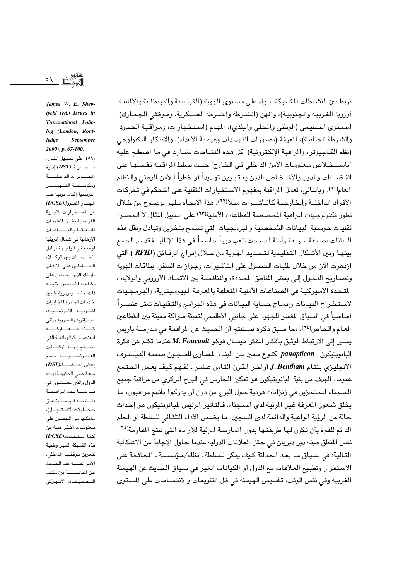$\circ$  9

James W. E. Sheptycki (ed.) Issues in Transnational Policing (London, Routledge **September**  $2000$ , p. 67-100. (٥٨) على سبيل الثال: محساولة (DST) إدارة المفابرات الداخليسة ومكافحة التجسس الفرنسية إثبات قوتها ضد الجهاز المسؤول (DGSE) عن الاستخبارات الأجنبية الفرنسية بشأن المعلومات التعلقة بالجماعات الإرهابية في شمال إفريقيا لوضع فى الواجهة تبادل الخدمات بين الوكلاء العساملين على الإرهاب وأولئك الذين يعملون على مكافحة التجسس. نتيجة ذلك، تأســــيس روابط بين خدمات أجهزة المابرات المغربية، التونسية، الجزائرية والسورية والتى كسانت مسعسارضسة للعنصرية/الوطنية التى تضطلع بها الوكالات الفــــرنســــيـــــة. وضـع  $(DST)$ بعض أعـــضـــــاء معارضى الحكومة لهذه الدول والذي يعيشون في فرنسا تحت المراقبة (خاصة فيما يتعلق بمحاولات الاغتيال)، مامكنها من الحصول على معلومات أكثر دقة عن  $(DGSE)$ كما استخدمت هذه الشبكة العبر وطنية لتعزيز موقفها الداخلي. الأمر نفسه عند الحديث عن المنافسسة بين مكتب التحقيقات الأميركي

تريط بين النشـاطات الشـتركة سواء على مسـتوى الهوية (الفرنسية والبريطانية والألمانية، أوروبا الغربية والجنوبية)، والمهن (الشـرطة والشـرطة العسكرية، ومـوظفى الجـمـارك)، المستوى التنظيمي (الوطني والمحلي والبلدي)، المهام (استخبارات، ومراقبة الحدود، والشرطة الجنائية)، المرفة (تصورات التهديدات وهرمية الأعداء)، والابتكار التكنولوجي (نظم الكمبيوتر، والمراقبة الإلكترونية). كل هذه النشاطات تشـارك في ما اصطلح عليه "باستخلاص معلومات الأمن الداخلي في الخارج" حيث تسلط الراقبة نفسـهـا على الفضباءات والدول والأشيخاص الذين يعتبرون تهديدأ أو خطرأ للأمن الوطني والنظام العام(٦١). وبالتالي، تعمل الراقبة بمفهوم الاستخبارات التقنية على التحكم في تحركات الأفراد الداخلية والخارجية كالتأشيرات مثلا(٦٢). هذا الاتجاه يظهر بوضوح من خلال تطور تكنولوجيات المراقبة المخصصة للقطاعات الأمنية(٦٣) على سبيل الثال لا الحصر: تقنيات حوسبة البيانات الشـخصية والبرمجيات التي تسمح بتخزين وتبادل ونقل هذه البيانات بصيغة سريعة وأمنة أصبحت تلعب دوراً حاسماً في هذا الإطار. فقد تم الجمع بينهـا وبين الأشكال التـقليدية لـتـحديد الهـويـة من خـلال إدراج الرقـائق (RFID ) التي ازدهرت الآن من خلال طلبات الحصول على التأشيرات، وجوازات السفر، بطاقات الهوية وتصـاريح الدخول إلى بعض المناطق المحددة، والمنافسـة بين الاتحـاد الأوروبي والولايات اللتحدة الأميركية في الصناعات الأمنية التعلقة بالمرفة البيوميترية، والبرمجيات لاستخراج البيانات وإدماج حماية البيانات في هذه البرامج والتقنيات تمثل عنصراً أساسياً في السياق المفسر للجهود على جانبي الأطلسي لتعبئة شراكة معينة بين القطاعين العـام والخـاص'٦٤). مما سـبق ذكره نسـتنتج أن الحديث عن المراقبـة في مدرسـة باريس يشير إلى الارتباط الوثيق بأفكار المفكر ميشال فوكو M. Foucault عندما تكلم عن فكرة البانويتيكون panopticon كنوع معين من البناء المعماري للسجون صممه الفيلسوف الانجليزي بنثام J. Bentham أواخر القرن الثامن عشر ـ لفـهم كيف يعمل المجتمع عموما. الهدف من بنية البانوبتيكون هو تمكين الحارس في البرج المركزي من مراقبة جميع السجناء المتجزين في زنزانات فردية حول البرج من دون أن يدركوا بأنهم مراقبون، ما يخلق شعور العرفة غير الرئية لدى السجناء. فالتأثير الرئيس للبانويتيكون هو إحداث حالة من الرؤية الواعية والدائمة لدى السجين، ما يضمن الأداء التلقائي للسلطة أو الحلم الدائم للقوة بأن تكون لها طريقتها بدون المارسة المرئية للإرادة التي تنتج المقاومة(٦٥). نفس المنطق طبقه دير ديريان في حقل العلاقات الدولية عندما حاول الإجابة عن الإشكالية التالية: في سياق ما بعد الحداثة كيف يمكن للسلطة ـ نظام/مؤسسة ـ المحافظة على الاستقرار وتطبيع العلاقات مع الدول أو الكيانات الغير في سياق الحديث عن الهيمنة الغربية وفي نفس الوقت، تأسيس الهيمنة في ظل التنويعات والانقسامات على المستوى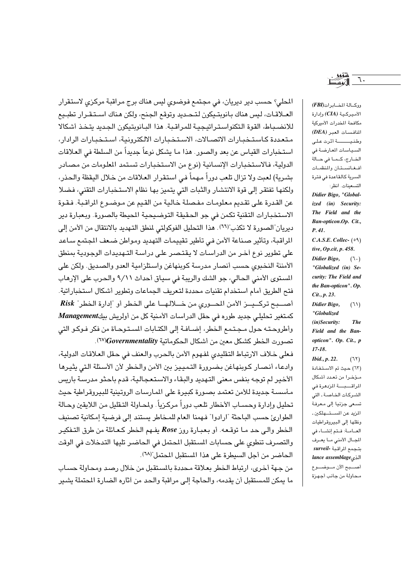اللحلي؟ حسب دير ديريان، في مجتمع فوضوى ليس هناك برج مراقبة مركزي لاستقرار العـلاقـات، ليس هناك بـانوبتـيكون لتـحـديد وتوقـع الـجنـح، ولكن هـناك اسـتـقـرار تطبـيع للانضباط، القوة التكنواستراتيجية للمراقبة. هذا البانويتيكون الجديد يتخذ أشكالا متعددة كاستخبارات الاتصالات، الاستخبارات الالكترونية، استخبارات الرادار، استخبارات القياس عن بعد والصور. هذا ما يشكل نوعاً جديداً من السلطة في العلاقات الدولية، فالاستخبار ات الإنسانية (نوع من الاستخبار ات تستمد الملومات من مصادر بشرية) لعبت ولا تزال تلعب دوراً مهماً في استقرار العلاقات من خلال اليقظة والحذر، ولكنها تفتقر إلى قوة الانتشار والثبات التي يتميز بها نظام الاستخبارات التقنى، فضلا عن القدرة على تقديم معلومات مفصلة خالية من القيم عن مـوضـوع المراقـبة. فـقـوة الاستخبارات التقنية تكمن في جو الحقيقة التوضيحية الميطة بالصورة. وبعبارة دير ديريان"الصورة لا تكذب"(٦٦). هذا التحليل الفوكولتي لمنطق التهديد بالانتقال من الأمن إلى المراقبة، وتأثير صناعة الأمن في تأطير تقييمات التهديد ومواطن ضعف المجتمع ساعد على تطوير نوع أخـر من الدراسـات لا يقتـصـر علـى دراسـة التـهديدات الوجودية بمنطق الأمننة النخبوي حسب أنصار مدرسة كوبنهاغن واستلزامية العدو والصديق. ولكن على المستوى الأمنى الحالي، جو الشك والريبة في سياق أحداث ٩/١١ والحرب على الإرهاب فتح الطريق أمام استخدام تقنيات محددة لتعريف الجماعات وتطوير أشكال استخباراتية. أصبح تركييز الأمن المصوري من خللالها على الخطر أو "إدارة الخطر" Risk كمتغير تحليلي جديد طوره في حقل الدراسات الأمنية كل من أولريش بيكManagement وأطروحته حول مجتمع الخطر، إضـافـة إلى الكتـابات المستـوحـاة من فكر فـوكـو التي تصورت الخطر كشكل معين من أشكال الحكوماتية Governmentality).

فعلى خلاف الارتباط التقليدي لفهوم الأمن بالحرب والعنف في حقل العلاقات الدولية، وادعاء أنصار كوبنهاغن بضرورة التمييز بين الأمن والخطر لأن الأسئلة التى يثيرها الأخير لم توجه بنفس معنى التهديد والبقاء والاستعجالية، قدم باحثو مدرسة باريس مأسسة جديدة للأمن تعتمد بصورة كبيرة على المارسات الروتينية للبيروقراطية حيث تحليل وإدارة وحسـاب الأخطار تلـعب دوراً مركـزياً. ولمحـاولة التـقليل مـن اللايقين وحـالة الطوارئ حسب الباحثة "ارادوا" فهمنا العام للمخاطر يستند إلى فرضية إمكانية تصنيف الخطر والى حد ما توقعه. أو بعبارة روز Rose يفهم الخطر كعائلة من طرق التفكير والتصرف تنطوي على حسابات المستقبل المحتمل في الحاضير تلبها التدخلات في الوقت الحاضر من أجل السيطرة على هذا المستقبل المحتمل"(٦٨).

من جهة أخرى، ارتباط الخطر بعلاقة محددة بالمستقبل من خلال رصد ومحاولة حساب ما يمكن للمستقبل أن يقدمه، والحاجة إلى مراقبة والحد من أثاره الضارة المحملة يشير ووكمالة المضاير ات (FBI) الأميركية (CIA) وإدارة مكافحة المخدرات الأميركية المنافسات العبر (DEA) وطنيسسة أثرت على السياسات المعارضة في الخارج، كما في حالة أفغانستان والمنظمات السرية كالقاعدة فى فترة التسعينات. انظر: Didier Bigo, "Globalized (in) Security: The Field and the Ban-opticon.Op. Cit., P.41.  $C.A.S.E. College. (99)$ tive, Op.cit, p. 458. Didier Bigo,  $(7.)$ "Globalized (in) Security: The Field and the Ban-opticon". Op.  $Cit., p. 23.$ Didier Bigo,  $(11)$ "Globalized  $(in)$ Security: **The** Field and the Banopticon". Op. Cit., p  $17 - 18.$ *Ibid., p. 22.*  $(77)$ (٦٣) حيث تم الاستفادة مؤخرا من تعدد أشكال المراقسبسة المزدهرة في الشركات الخاصة ـ التى تسعى جزئيا إلى معرفة المزيد عن المستهلكين ـ ونقلها إلى البيروقراطيات العامة: فتم إنشاء في المجال الأمنى ما يعرف بتجمع المراقبة -surveil lance assemblage أصبع الآن موضوع محاولة من جانب أجهزة

٦.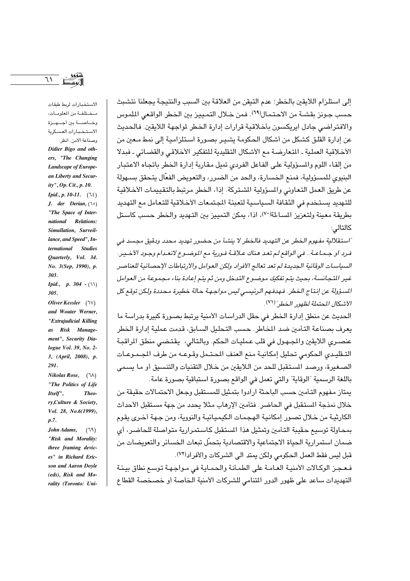إلى استلزام اللايقين بالخطر؛ عدم التيقن من العلاقة بين السبب والنتيجة يجعلنا نتشبث حسب جـونز بقشــة من الاحـتـمـال(٦٩). فمن خــلال التمـييـز بين الـخـطر الواقـعي الملموس والافتراضى جادل ايريكسون بأخلاقية قرارات إدارة الخطر لمواجهة اللايقين. فالحديث عن إدارة القلق كشكل من أشكال الحكومة يشير بصورة استلزامية إلى نمط معين من الأخلاقية العملية ـ المتعارضة مع الأشكال التقليدية للتفكير الأخلاقي والقضائي ـ فبدلا من إلقاء اللوم والمسؤولية على الفاعل الفردي تميل مقاربة إدارة الخطر باتجاه الاعتبار البنيوي للمسؤولية، فمنع الخسارة، والحد من الضرر، والتعويض الفعّال يتحقق بسـهولة عن طريق العمل التعاوني والمسؤولية الشتركة. إذا، الخطر مرتبط بالتقييمات الأخلاقية للتهديد يستخدم في الثقافة السياسية لتعبئة الجتمعات الأخلاقية للتعامل مع التهديد بطريقة معينة ولتعزيز المساءلة(٧٠)، اذا، يمكن التمييز بين التهديد والخطر حسب كاستل كالتالى:

"استقلالية مفـهوم الـخطر عن التـهديد فالـخطر لا ينشـأ من حـضور تـهديد مـحدد وبـقيق مـجسد فـي فرد او جـمـاعـة.. في الواقع لـم تعـد هـناك عـلاقــة فـورية مع الموضـوع لانعـدام وجـود الأخــيـر. السياسات الوقائية الجديدة لم تعد تعالج الأفراد ولكن العوامل والارتباطات الإحصائية للعناصر غير التجانسة، بحيث يتم تفكيك موضوع التدخل ومن ثم يتم إعادة بناء مجموعة من العوامل السؤولة عن إنتاج الخطر. فهدفهم الرئيسي ليس مواجهة حالة خطيرة محددة ولكن توقع كل الأشكال المحتملة لظهور الخطر" (٧١).

الحديث عن منطق إدارة الخطر في حقل الدراسات الأمنية يرتبط بصورة كبيرة بدراسة ما يعرف بصناعة التأمين ضد المخاطر. حسب التحليل السابق، قدمت عملية إدارة الخطر عنصرى اللايقين والمجهول في قلب عمليات الحكم. وبالتالي، يقتضى منطق المراقبة التـقليـدى الحكومى تحليل إمكانيـة منـع العنف المحتـمل وقـوعـه من طرف المجـمـوعـات الصغيرة، ورصد المستقبل للحد من اللايقين من خلال التقنيات والتنسيق أو ما يسمى باللغة الرسمية "الوقاية" والتي تعمل في الواقع بصورة استباقية بصورة عامة.

يمتاز مفهوم التئمين حسب الباحثة ارادوا بتمثيل للمستقبل وجعل الاحتمالات حقيقة من خلال نمذجة المستقبل في الحاضر. فتأمين الإرهاب مثلا يحدد من جهة مستقبل الأحداث الكارثيـة من خـلال تصـور إمكانيـة الهـجـمـات الـكيمـيـائيـة والنووية، ومن جـهـة أخـرى يقوم بمحاولة توسيع حقيبة التأمين وتمثيل هذا المستقبل كاستمرارية متواصلة للحاضر، أي ضمان استمرارية الحياة الاجتماعية والاقتصادية يتحمّل تبعات الخسائر والتعويضات من قبل ليس فقط العمل الحكومي ولكن يمتد الى الشركات والأفراد<sup>(٧٢)</sup>.

فـعـجـز الوكـالات الأمنيـة العـامـة على الطمـأنـة والحمـايـة في مـواجـهـة توسـع نطاق بيـئـة التهديدات ساعد على ظهور الدور المتنامي للشركات الأمنية الخاصة أو خصخصة القطاع

مختلفة من المعلومات، وخــاصــــة بين أجــــهـــزة الاستخبارات العسكرية وصناعة الأمن. انظر: Didier Bigo and others, "The Changing Landscape of European Liberty and Security", Op. Cit., p. 10. *Ipid., p. 10-11.* (12) J. der Derian,  $(10)$ "The Space of International Relations: Simullation, Surveillance, and Speed", International Studies Quarterly, Vol. 34. No. 3(Sep, 1990), p. 303.

*Ipid.*, *p.* 304 -  $(11)$  $305.$ 

Oliver Kessler  $(\forall)$ and Wouter Werner, "Extrajudicial Killing as Risk Management", Security Dialogue Vol. 39, No. 2-3, (April, 2008), p. 291.

Nikolas Rose,  $(\lambda)$ "The Politics of Life Itself", Theory, Culture & Society, Vol. 28, No.6(1999),  $p.7$ .

John Adams,  $(19)$ "Risk and Morality: three framing devices" in Richard Ericson and Aaron Doyle  $(eds)$ , Risk and Morality (Toronto: Uni-

 $71$ 

الاستخدارات لربط طبقات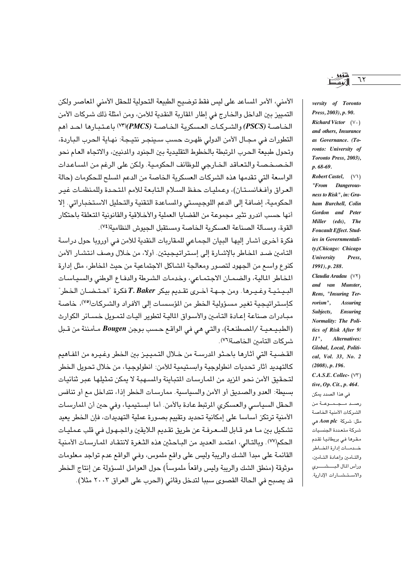الأمني، الأمر المساعد على ليس فقط توضيح الطبيعة التحولية للحقل الأمني المعاصر ولكن التمييز بين الداخل والخارج في إطار المقاربة النقدية للأمن، ومن أمثلة ذلك شركات الأمن الخاصة (PSCS) والشركات العسكرية الخاصة (PMCS)(٧٣) باعتبارها احد أهم التطورات في مجـال الأمن الدولي ظهـرت حسب سـينجـر نتيـجـة: نهـاية الـحرب البـاردة، وتحول طبيعة الحرب الرتبطة بالخطوط التقليدية بين الجنود والدنيين، والاتجاه العام نحو الخصخصة والتعاقد الخارجي للوظائف الحكومية. ولكن على الرغم من المساعدات الواسعة التي تقدمها هذه الشركات العسكرية الخاصة من الدعم المسلح للحكومات (حالة العراق وأفغانستان)، وعمليات حفظ السلام التابعة للأمم المتحدة وللمنظمات غير الحكومية، إضافة إلى الدعم اللوجيستي والسـاعدة التقنية والتحليل الاستخباراتي. إلا أنها حسب اندرو تثير مجموعة من القضايا العملية والأخلاقية والقانونية المتعلقة باحتكار القوة، ومسألة الصناعة العسكرية الخاصة ومستقبل الحبوش النظامية(٢٤).

فكرة أخرى أشار إليها البيان الجماعي للمقاربات النقدية للأمن في أوروبا حول دراسة التأمين ضد المخاطر بالإشارة إلى إستراتيجيتين. أولا، من خلال وصف انتشار الأمن كنوع واسع من الجهود لتصور ومعالجة المشاكل الاجتماعية من حيث المخاطر، مثل إدارة المخاطر المالية، والضمـان الاجتمـاعي، وخدمـات الشـرطة والدفـاع الوطني والسـيـاسـات السيئيية وغييرها. ومن جيهة أخيري تقيدم بيكر T. Baker فكرة "احتيضان الخطر" كإستراتيجية تغير مسؤولية الخطر من المؤسسات إلى الأفراد والشركات<sup>(٧٥)</sup>، خاصة مبـادرات صناعة إعـادة التأمـين والأسـواق الماليـة لتطوير أليـات لتمـويل خسـائر الكوارث (الطبيعية /الصطنعة)، والتي هي في الواقع حسب بوجن Bougen مأمننة من قبل شركات التأمين الخاصة(٧٦).

القضيبة التي أثارها باحثو المرسبة من خلال التميييز بين الخطر وغييره من المفاهيم كالتهديد أثار تحديات انطولوجية وابستيمية للأمن: انطولوجيا، من خلال تحويل الخطر لتحقيق الأمن نحو المزيد من المـارسـات المتباينة والمسـهبـة لا يمكن تمثيلها عبر ثنائيـات بسيطة: العدو والصديق أو الأمن والسياسية. ممارسات الخطر إذا، تتداخل مع أو تنافس الحقل السياسي والعسكري المرتبط عادة بالأمن. أما ابستيميا، وفي حين أن المارسات الأمنية ترتكز أساسا على إمكانية تحديد وتقييم بصورة عملية التهديدات، فإن الخطر يعيد تشكيل بين مـا هـو قـابل للمـعـرفـة عن طريق تقـديم الـلايقين والمجـهـول فـي قلب عـمليـات الحكم(٧٧). وبالتـالي، اعتمـد العديد من البـاحـثين هذه الثـغرة لانتقـاد المبارسيات الأمنيـة القائمة على مبدأ الشك والريبة وليس على واقع ملموس، وفي الواقع عدم تواجد معلومات موثوقة (منطق الشك والريبة وليس واقعاً ملموساً) حول العوامل المسؤولة عن إنتاج الخطر قد يصبح في الحالة القصوى سببا لتدخل وقائي (الحرب على العراق ٢٠٠٣ مثلا). versity of Toronto Press, 2003), p. 90. **Richard Victor**  $(V \cdot)$ and others, Insurance as Governance. (To-

 $p.68-69.$  $Robert Castel, (\forall \)$ "From Dangerousness to Risk", in: Graham Burchell, Colin Gordon and Peter Miller (eds), The Foucault Effect. Studies in Governmentality,(Chicago: Chicago University Press. 1991), p. 288.

ronto: University of

Toronto Press, 2003),

Claudia Aradau (VY) and van Munster, Rens, "Insuring Terrorism", **Assuring** Subjects, Ensuring Normality: The Politics of Risk After 9/  $II$ ". Alternatives: Global, Local, Political, Vol. 33, No. 2  $(2008), p. 196.$  $C.A.S.E. College. (VY)$ tive, Op. Cit., p. 464. في هذا الصدد يمكن رصــد مــجــمــوعــة من

الشركات الأمنية الخاصة مثل: شركة Aon plc هي شركة متعددة الجنسيات مقرها في بريطانيا تقدم خدمات إدارة المضاطر والتأمين وإعادة التأمين، ورأس المال البسشسرى والاستشارات الإدارية.

٦٢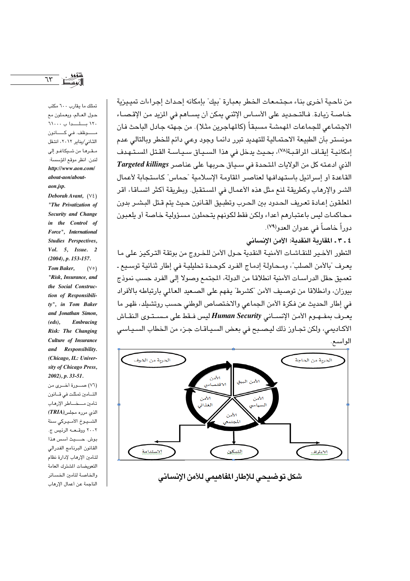$75$ 

تمتلك ما يقارب ٦٠٠ مكتب حول العـالم، ويعملون مع  $11...$  باسدا ب مـــــــوظف. فــي كـــــــانون الثاني/يناير ٢٠١٢، انتقل مقرها من شيكاغو إلى لندن. انظر موقع المؤسسة: http://www.aon.com/ about-aon/aboutaon.isp.

Deborah Avant.  $(V\xi)$ "The Privatization of Security and Change in the Control of Force", International Studies Perspectives, Vol. 5, Issue. 2  $(2004)$ , p. 153-157. **Tom Baker.**  $(V \circ)$ "Risk. Insurance. and the Social Construction of Responsibility", in Tom Baker and Jonathan Simon,  $(eds).$ Embracing Risk: The Changing Culture of Insurance and Responsibility. (Chicago, IL: University of Chicago Press,  $2002$ , p. 33-51.

(٧٦) صدرة أخبري من التأمين تمثلت في قانون تأمين مسخساطر الإرهاب  $\mathit{TRIA}$ الذي مرره مجلس الشبيوخ الأميركي سنة ٢٠٠٢ ووقىعــه الرئيس ج. بوش. حسيث أسس هذا القانون البرنامج الفدرالى لتأمين الإرهاب لإدارة نظام التعويضات المشترك العامة والخاصة لتأمين الخسائر الناجمة عن أعمال الإرهاب

من ناحية أخرى بناء مجتمعات الخطر بعبارة "بيك" بإمكانه إحداث إجراءات تمييزية خـاصـة زيادة. فـالتـحـديد على الأسـاس الإثنـى يمكن أن يســاهـم في المزيد مـن الإقـصـاء الاجتماعي للجماعات المهمشة مسبقاً (كالمهاجرين مثلا). من جهته جادل الباحث فان مونستر بأن الطبيعة الاحتمالية للتهديد تبرر دائما وجود وعي دائم للخطر وبالتالي عدم إمكانية إيقاف الراقبة(٧٨)، بحيث يدخل في هذا السياق سياسة القتل المستهدف الذي ادعته كل من الولايات المتحدة في سياق حربها على عناصر Targeted killings القاعدة أو إسرائيل باستهدافها لعناصر القاومة الإسلامية "حماس" كاستجابة لأعمال الشر والإرهاب وكطريقة لمنع مثل هذه الأعمال في المستقبل. وبطريقة أكثر اتساقا، اقر المعلقون إعـادة تعـريف الـحـدود بين الـحـرب وتطبـيق القـانون حـيث يتم قـتل البـشـر بدون محاكمات ليس باعتبارهم أعداء ولكن فقط لكونهم يتحملون مسئولية خاصة أو يلعبون دوراً خاصاً في عدوان العدو<sup>(٧٩)</sup>.

٤ ـ ٣ ـ المقاربة النقدبة: الأمن الانساني

التطور الأخير للنقـاشـات الأمنيـة النقدية حـول الأمن للخـروج من بوتقة التـركيز على مـا يعرف "بالأمن الصلب"، ومحاولة إدماج الفرد كوحدة تحليلية في إطار ثنائية توسيع ـ تعميق حقل الدراسـات الأمنية انطلاقـا من الدولة، المجتمع وصولا إلى الفرد حسب نموذج بيوزان، وإنطلاقا من توصيف الأمن "كشرط" يفهم على الصعيد العالم بارتباطه بالأفراد في إطار الحديث عن فكرة الأمن الجماعي والاختصاص الوطني حسب روتشيلد، ظهر ما يعرف بمفـهـوم الأمن الإنســاني Human Security ليس فـقط على مـسـتـوى النقــاش الأكاديمي، ولكن تجاوز ذلك ليصبح في بعض السياقات جزء من الخطاب السياسي الواسع.



شكل توضيحي للإطار المفاهيمي للأمن الإنساني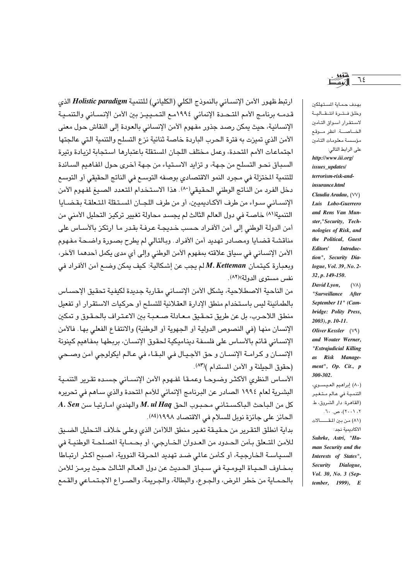ارتبط ظهور الأمن الإنسـاني بالنموذج الكلي (الكلياني) للتنمية Holistic paradigm الذي قدمــه برنامـج الأمم المتـحـدة الإنمائي ١٩٩٤مـع التـمـيـيـز بين الأمن الإنسـاني والتنمـيـة الإنسانية، حيث يمكن رصد جذور مفهوم الأمن الإنساني بالعودة إلى النقاش حول معنى الأمن الذي تميزت به فترة الحرب الباردة خاصة ثنائية نزع التسلح والتنمية التي عالجتها اجتماعات الأمم المتحدة، وعمل مختلف اللجان المستقلة باعتبارها استجابة لزيادة وتيرة السبباق نحـو التسلـح من جـهة، و تزايد الاسـتيـاء من جـهة أخـرى حـول المفاهـيم السـائدة للتنمية المختزلة في مجرد النمو الاقتصادي بوصفه التوسع في الناتج الحقيقي أو التوسع دخل الفرد من الناتج الوطني الحقيقي(٨٠). هذا الاستخدام المتعدد الصيغ لمفهوم الأمن الإنسـاني سـواء من طرف الأكـاديميين، أو من طرف اللجـان المسـتـقلة المتـعلقـة بـقـضـايا التنمية(١٨) خاصـة في دول العالم الثالث لم يجسد محاولة تغيير تركيز التحليل الأمني من أمن الدولة الوطني إلى أمن الأفـراد حسب خـديجـة عـرفـة بقـدر مـا ارتكـز بالأســاس على مناقشة قضايا ومصادر تهديد أمن الأفراد. وبالتالي لم يطرح بصورة واضحة مفهوم الأمن الإنساني في سياق علاقته بمفهوم الأمن الوطني وإلى أي مدى يكمل أحدهما الآخر، وبعبارة كيتمان M. Ketteman لم يجب عن إشكالية: كيف يمكن وضـع أمن الأفراد في نفس مستوى الدولة؟<sup>(٨٢)</sup>.

من الناحية الاصطلاحية، يشكل الأمن الإنساني مقاربة جديدة لكيفية تحقيق الإحساس بالطمأنينة ليس باستخدام منطق الإدارة العقلانية للتسلح أو حركيات الاستقرار أو تفعيل منطق اللاحرب، بل عن طريق تحقيق معـادلة صـعبـة بين الاعـتـراف بالحـقـوق و تمكين الإنسان منها (في النصوص الدولية أو الجهوية أو الوطنية) والانتفاع الفعلي بها. فالأمن الإنساني قائم بالأساس على فلسفة ديناميكية لحقوق الإنسان، بربطها بمفاهيم كينونة الإنسـان و كرامــة الإنسـان و حق الأجـيـال في البـقـاء في عـالـم ايكولوجي أمن وصـحى (حقوق الجيلنة و الأمن المستدام )(٨٣).

الأساس النظرى الأكثر وضوحا وعمقا لمفهوم الأمن الإنساني جسده تقرير التنمية البشرية لعام ١٩٩٤ الصادر عن البرنامج الإنمائي للأمم المتحدة والذي ساهم في تحريره كل من الباحث الباكستاني محبوب الحق M. ul Haq والهندي امارتيا سن A. Sen الحائز على جائزة نوبل للسلام في الاقتصاد ١٩٩٨(٨٤).

بداية انطلق التقرير من حقيقة تغير منطق اللاأمن الذي وعلى خلاف التحليل الضيق للأمن المتعلق بأمن الحدود من العدوان الخـارجي، أو بحـمـاية المصلحـة الوطنيـة في السياسة الخارجية، أو كأمن عالمي ضد تهديد المحرقة النووية، أصبح أكثر ارتباطا بمخـاوف الحـيـاة اليـومـيـة في سـيـاق الحـديث عن دول العـالم الثـالث حـيث يرمـز للأمن بالحماية من خطر المرض، والجوع، والبطالة، والجريمة، والصـراع الاجـتمـاعي والقمع

بهدف حماية المستهلكين وخلق فتحرة انتقالية لاستقرار أسواق التأمين الخاصسة. انظر موقع مؤسسة معلومات التأمين على الرابط التالي: http://www.iii.org/ issues updates/ terrorism-risk-and*insurance html* Claudia Aradau, (VV) Luis Lobo-Guerrero and Rens Van Munster,"Security, Technologies of Risk, and the Political, Guest Editors' Introduction", Security Dialogue, Vol. 39, No. 2-32, p. 149-150. David Lyon,  $(V\Lambda)$ 

"Surveillance After September 11" (Cambridge: Polity Press, 2003), p. 10-11. Oliver Kessler  $(V^{\alpha})$ 

and Wouter Werner, "Extrajudicial Killing as Risk Management", Op. Cit., p 300-302.

(٨٠) إبراهيم العيسوى، التنمية في عالم متغير (القاهرة: دار الشروق، ط. ۲، ۲۰۰۱)، ص. ۲۰. (٨١) من بين المقالات

الأكادسة نجد: Suhrke, Astri, "Human Security and the Interests of States", Security Dialogue, Vol. 30, No. 3 (September, 1999), E

 $75$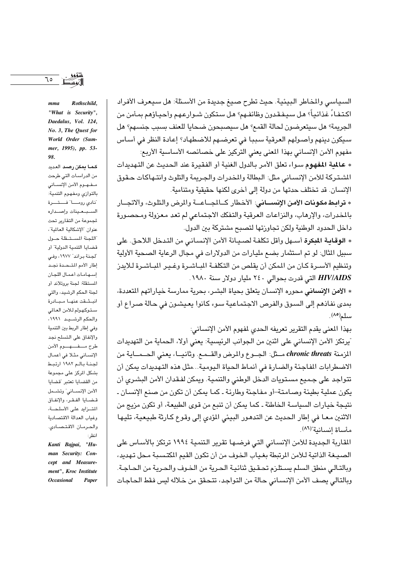السياسي والمخاطر البيئية. حيث تطرح صيغ جديدة من الأسئلة: هل سيعرف الأفراد اكتفـاءً غذائيـاً؟ هل سـيـفـقـدون وظائفـهم؟ هل سـتكون شـوارعـهم وأحيـاؤهم بمـأمن من الجريمة؟ هل سيتعرضون لحالة القمع؟ هل سيصبحون ضحايا للعنف بسبب جن*س*هم؟ هل سيكون دينهم وأصولهم العرقية سببا في تعرضهم للاضطهاد؟ إعادة النظر في أساس مفهوم الأمن الإنساني بهذا المغي يعني التركيز على خصائصه الأساسية الأربع:

\* عالمة المفهوم سواء تعلق الأمر بالدول الغنية أو الفقيرة عند الحديث عن التهديدات الشتركة للأمن الإنساني مثل: البطالة والمخدرات والجريمة والتلوث وانتـهاكات حـقوق الإنسان. قد تختلف حدتها من دولة إلى أخرى لكنها حقيقية ومتنامية.

\* **ترابط مكونات الأمن الإنســاني**: الأخطار كــالجــاعـــة والمرض والتلوث، والاتجــار بالمخدرات، والإرهاب، والنزاعات العرقية والتفكك الاجتماعي لم تعد معزولة ومحصورة داخل الحدود الوطنية ولكن تجاوزتها لتصبح مشتركة بين الدول.

\* الوقائة المكرة أسبهل وأقل تكلفة لصبيانة الأمن الإنساني من التدخل اللاحق. على سبيل الثال: لو تم استثمار بضع مليارات من الدولارات في مجال الرعاية الصحية الأولية وتنظيم الأسـرة كـان من المكن أن يقلص من التكلفـة المبـاشـرة وغـيـر المبـاشـرة لـلايدز HIV/AIDS التي قدرت بحوالي ٢٤٠ مليار دولار سنة ١٩٨٠.

\* الأمن الإنساني محوره الإنسان يتعلق بحياة البشر، بحرية ممارسة خياراتهم المتعددة، بمدى نفاذهم إلى السوق والفرص الاجتماعية سوء كانوا يعيشون في حالة صراع أو سلم(٨٥).

بهذا المعنى يقدم التقرير تعريفه الحدى لمفهوم الأمن الإنساني:

"يرتكز الأمن الإنساني على اثنين من الجوانب الرئيسية: يعني أولا، الحماية من التهديدات المزمنة chronic threats مــثل: الجــوع والمرض والقــمـع. وثانيــا، يعني الحــمــاية من الاضطرابات المفاجئة والضارة في أنماط الحياة اليومية...مثل هذه التهديدات يمكن أن تتواجد على جميع مستويات الدخل الوطني والتنمية. ويمكن لفـقدان الأمن البشـري أن يكون عملية بطيئة وصامتة-أو مفاجئة وطارئة ـ كما يمكن أن تكون من صنع الإنسان ـ نتيجة خيارات السياسة الخاطئة ـ كما يمكن أن تنبع من قوى الطبيعة، أو تكون مزيج من الاثنين معـا في إطار الحديث عن التدهـور البيئي المؤدى إلى وقوع كـارثة طبيعية، تليها مأساة إنسانية"(٨٦).

المقاربة الجديدة للأمن الإنسـاني التي فرضـهـا تقرير الـتنمـية ١٩٩٤ ترتكز بالأسـاس علـ، الصيـغة الذاتية لـلأمن المرتبطة بغـياب الـخوف من أن تكون القيم المكتسـبـة مـحل تـهديد، وبالتـالـى منطق السلم يسـتلـزم تحـقـيق ثنائيـة الـحـرية من الـخـوف والـحـريـة من الـحـاجـة. وبالتالي يصف الأمن الإنساني حالة من التواجد، تتحقق من خلاله ليس فقط الحاجات

Rothschild,  $<sub>mma</sub>$ </sub> "What is Security", Daedalus, Vol. 124, No. 3, The Quest for World Order (Summer. 1995). pp. 53-98.

 $70$ 

كما يمكن رصد العديد من الدراسـات التي طرحت مفهوم الأمن الإنساني بالتوازي ومفهوم التنمية: نادي رومـا" فـــتـــرة السبعينات وإصداره لجموعة من التقارير تحت عنوان "الإشكالية العالمية"، اللجنة المستبقلة حبول قضايا التنمية الدولية" أو لجنة براند" ١٩٧٧، وفي إطار الأمم المتحدة نجد إسهامات أعمال اللجان المستقلة: لجنة بروتلاند أو لجنة الحكم الرشيد، والتي انبشقت عنها مبادرة ستوكهولم للأمن العالمي والحكم الرشيد ١٩٩١، وفي إطار الربط بين التنمية والإنفاق على التسلح نجد طرح مفهوم الأمن الإنساني مثلا في أعمال لجنة بالم ١٩٨٢ ارتبط بشكل المركز على مجموعة من القضايا تعتبر تقضايا الأمن الإنســاني" وتشــمل قضايا الفقر، والإنفاق المترايد على الأسلحــة، وغياب العدالة الاقتصادية والحرمان الاقتصادي. انظر: Kanti Bajpai, "Human Security: Concept and Measurement", Kroc Institute **Occasional** Paper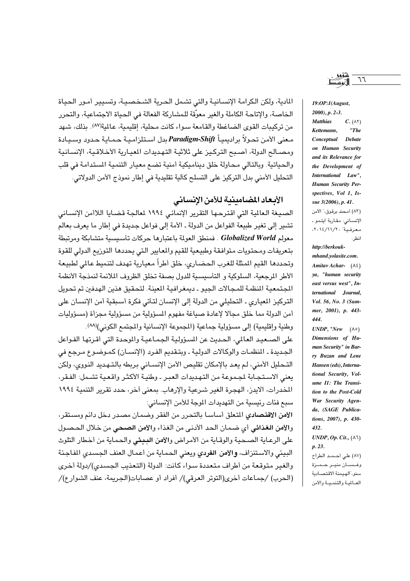المادية، ولكن الكرامة الإنسـانيـة والتي تشـمل الـحـرية الشـخصـيـة، وتسـيير أمـور الـحيـاة الخاصة، والإتاحة الكاملة والغير معوِّقة للمشاركة الفعالة في الحياة الاجتماعية، والتحرر من تركيبات القوى الضاغطة والقامعة سواء كانت محلية، إقليمية، عالمية(٨٧). بذلك، شهد معنى الأمن تحولاً براديميـاً Paradigm-Shift بدل استلزامـيـة حـمـايـة حـدود وسـيـادة ومصـالـم الدولة، أصـبـم التركـيز على ثلاثيـة التـهديدات المعيـارية الأخـلاقـيـة، الإنسـانيـة والحياتية. وبالتالي محاولة خلق ديناميكية أمنية تضع معيار التنمية المستدامة في قلب التحليل الأمني بدل التركيز على التسلح كآلية تقليدية في إطار نموذج الأمن الدولاتي.

#### الأبعاد المضامينية للأمن الإنساني

الصيغة العالية التي اقترحها التقرير الإنمائي ١٩٩٤ لمالجة قضايا اللاأمن الإنساني تشير إلى تغير طبيعة الفواعل من الدولة ـ الأمة إلى فواعل جديدة في إطار ما يعرف بعالم معولم Globalized World . فمنطق العولمة باعتبارها حركات تأسيسية متشابكة ومرتبطة بتعريفات ومحتويات متوافقة وطبيعية للقيم والمعايير التى يحددها التوزيع الدولي للقوة وتحددها القيم المثلة للغرب الحضارى، خلق أطراً معيارية تهدف لتنميط عالمي لطبيعة الأطر الرحعية، السلوكية و التأسيسية للدول بصفة تخلق الظروف الملائمة لنمذجة الأنظمة الجتمعية المنظمة للمجالات الجيو ـ ديمغرافية المعينة. لتحقيق هذين الهدفين تم تحويل التركيز المباري ـ التحليلي من الدولة إلى الإنسان لتأتي فكرة أسبقية أمن الإنسان على أمن الدولة مما خلق مجالا لإعادة صياغة مفهوم المسؤولية من مسؤولية مجزأة (مسؤوليات وطنية وإقليمية) إلى مسؤولية جماعية (المجموعة الإنسانية والمجتمع الكوني)(٨٨).

على الصـعيد العالمي، الحديث عن المسؤولية الجمـاعيـة والموحدة التي أقـرتها الفـواعل الجديدة ـ المنظمـات والوكـالات الدولية ـ وبتـقديم الفـرد (الإنسـان) كمـوضـوع مـرجع فى التـحليل الأمني، لـم يعـد بالإمكان تقليص الأمن الإنســاني بريطه بالـتـهـديد النـووي، ولكن يعني الاستجابة لجموعة من التهديدات العبر ـ وطنية الأكثر واقعية تشمل: الفقر، المخدرات، الايدز، الهجرة الغير شرعية والإرهاب. بمعنى أخر، حدد تقرير التنمية ١٩٩٤ سبع فئات رئيسية من التهديدات الموجة للأمن الإنساني:

الأمن الاقتصادي المتعلق أساسا بالتحرر من الفقر وضمان مصدر دخل دائم ومستقر، والأمن الغذائي أي ضمان الحد الأدني من الغذاء والأمن الصحي من خلال الحصول على الرعاية الصحية والوقاية من الأمراض والأمن البيئي والحماية من أخطار التلوث البيئي والاستنزاف، والأمن الفردي ويعني الحماية من أعمال العنف الجسدي المفاجئة والغير متوقعة من أطراف متعددة سواء كانت: الدولة (التعذيب الجسدي)/دولة أخرى (الحرب) /جماعات أخرى(التوتر العرقي)/ أفراد أو عصابات(الجريمة، عنف الشوارع)/

 $77$ 

 $19:OP:1(August,$  $2000$ , p. 2-3. **Matthias**  $C. (\wedge \Upsilon)$ Kettemann, " $The$ Conceptual **Debate** on Human Security and its Relevance for the Development of International Law", Human Security Perspectives, Vol 1, Issue 3(2006), p. 41. (٨٣) أمحند برقوق،" الأمن

الإنساني: مقاربة ايتمو ـ معرفية" ٢٠١٤/١١//٢٠، انظر :

http://berkoukmhand.volasite.com. Amitav Achar- $(\lambda \xi)$ ya, "human security east versus west", International Journal, Vol. 56, No. 3 (Summer, 2001), p. 443-444.

UNDP, "New  $(\wedge \circ)$ Dimensions of Human Security" in Barry Buzan and Lene Hansen (eds), International Security, Volume II: The Transition to the Post-Cold War Security Agenda, (SAGE Publications, 2007), p. 430-432.

UNDP, Op. Cit.,  $(\wedge \wedge)$ p. 23. (٨٧) على أحمد الطراح وغسان منير حمزة

سنو،"الهيمنة الاقتصادية العبالمية والتنميسة والأمن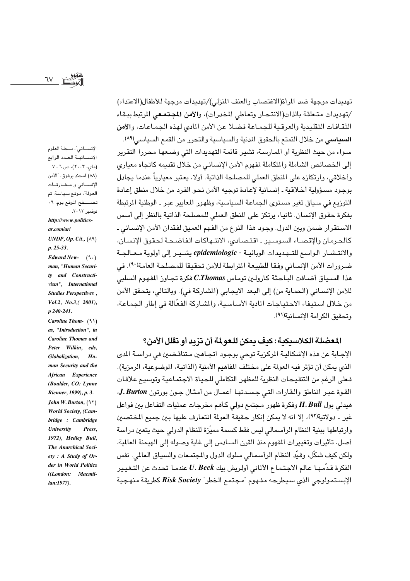$\mathcal{N}$ 

الإنساني"، مجلة العلوم الإنسانية العدد الرابع (مای، ۲۰۰۳)، ص ۱ ـ ۷. (٨٨) امحند برقوق، "الأمن الإنساني ومفارقات العولة"، موقع سياسة، تم تصفح الموقع يوم: ٩٠ نوفمبر ٢٠١٢. http://www.politicsar.com/ar/ UNDP, Op. Cit.,  $(\wedge^{\mathcal{A}})$  $p. 25 - 33.$ Edward New- $(9.)$ man, "Human Security and Constructivism", International Studies Perspectives,

p 240-241. Caroline Thom- $(91)$ as, "Introduction", in **Caroline Thomas and** Peter Wilkin, eds, Globalization, Human Security and the African Experience (Boulder, CO: Lynne Rienner, 1999), p. 3. John W. Burton,  $(97)$ **World Society**, (Cambridge: Cambridge **University** Press, 1972), Hedley Bull, The Anarchical Soci $ety : A$  Study of Order in World Politics ((London: Macmil $lan:1977$ ).

 $Vol.2, No.3, (2001),$ 

تهديدات موجهة ضد المرأة(الاغتصاب والعنف المنزلي)/تهديدات موجهة للأطفال(الاعتداء) /تهديدات متعلقة بالذات(الانتحار وتعاطى المخدرات)، والأمن المجتمعي المرتبط ببقاء الثقافات التقليدية والعرقية للجماعة فضلا عن الأمن المادى لهذه الجماعات، والأمن السباسي من خلال التمتع بالحقوق المدنية والسياسية والتحرر من القمع السياسي (٨٩). سـواء من حيث النظرية أو المـارسـة، تشير قائمـة التهديدات التي وضـعهـا محـررا التقرير إلى الخصائص الشاملة والمتكاملة لمفهوم الأمن الإنساني من خلال تقديمه كاتجاه معياري وأخلاقي، وارتكازه على المنطق العملي للمصلحة الذاتية. أولا، يعتبر معيارياً عندما يجادل بوجود مسؤولية أخلاقية ـ إنسانية لإعادة توجيه الأمن نحو الفرد من خلال منطق إعادة التوزيع في سياق تغير مستوى الجماعة السياسية، وظهور المعايير عبر ـ الوطنية الرتبطة بفكرة حقوق الإنسان. ثانيا، يرتكز على المنطق العملي للمصلحة الذاتية بالنظر إلى أسس الاستقرار ضمن وبين الدول. وجود هذا النوع من الفهم العميق لفقدان الأمن الإنساني ـ كالحرمان والإقصاء السوسيو ـ اقتصادى، الانتهاكات الفاضحة لحقوق الإنسان، والانتشار الواسع للتـهديدات الوبائيـة - epidemiologic يشـيـر إلى أولوية مـعـالجـة ضرورات الأمن الإنساني وفقا للطبيعة المترابطة للأمن تحقيقا للمصلحة العامة(٩٠). في مذا السبياق أضافت الباحثة كارولين توماس C.Thomas فكرة تجاوز المفهوم السلبي للأمن الإنسـاني (الـحماية من) إلى البـعد الايجـابي (الشـاركة في). وبالتـالي، يتحقق الأمن من خلال استيفاء الاحتياجات المادية الأساسية، والشاركة الفعّالة في إطار الجماعة، وتحقيق الكرامة الانسانية(٩١).

# المعضلة الكلاسيكية: كيف يمكن للعو لمة أن تزيد أو تقلل الأمن؟

الإجـابة عن هذه الإشكاليـة المركزيـة توحى بوجـود اتجـاهـين مـتناقـضـين في دراسـة المدى الذي يمكن أن تؤثِّر فيه العولمة على مختلف المفاهيم الأمنية (الذاتية، الموضوعية، الرمزية). فعلى الرغم من التنقيحات النظرية للمظهر التكاملي للحياة الاجتماعية وتوسيع علاقات القوة عبر المناطق والقارات التي جسدتها أعمال من أمثال جون بورتون J. Burton، ميدلي بول  $H.Bul$  وفكرة ظهور مجتمع دولي كأهم مخرجات عمليات التفاعل بين فواعل غير ـ دولاتية(٩٢)، إلا انه لا يمكن إنكار حقيقة العولة المتعارف عليها بين جميع المختصين وارتباطها ببنية النظام الرأسمالي ليس فقط كسمة مميّزة للنظام الدولي حيث يتعين دراسة أصل، تأثير ات وتغيير ات المفهوم منذ القرن السيادس الى غاية وصوله الى الهيمنة العالمة، ولكن كيف شكِّل، وقيِّد النظام الرأسمـالي سلوك الدول والمجتمـعات والسبياق الـعالمي. نفس الفكرة قدِّمها عالم الاجتماع الألماني أولريش بيك  $\bm{b}$   $\bm{c}$  عندما تحدث عن التـغيير الإبستمولوجي الذي سيطرحه مفهوم تمجتمع الخطر" Risk Society كطريقة منهجية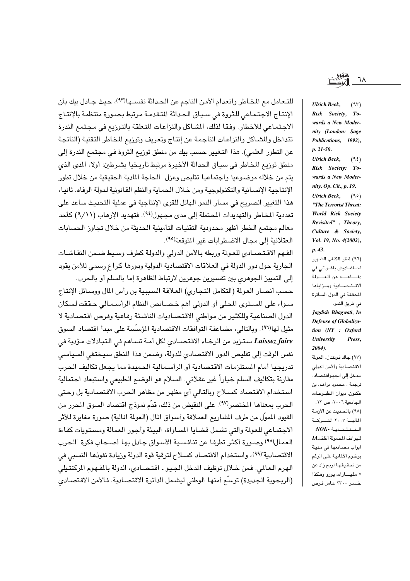للتـعـامل مـع المخـاطر وانعدام الأمـن الناجم عن الـحداثة نفسـهـا(٩٣)، حيث جـادل بيك بأن الإنتاج الاجتماعي للثروة في سياق الحداثة التقدمة مرتبط بصورة منتظمة بالإنتاج الاجتماعي للأخطار. وفقا لذلك، الشاكل والنزاعات المتعلقة بالتوزيع في مجتمع الندرة تتداخل والشاكل والنزاعات الناجمة عن إنتاج وتعريف وتوريع المخاطر التقنية (الناتجة عن التطور العلمي). هذا التغيير حسب بيك من منطق توزيع الثروة في مجتمع الندرة إلى منطق توريع المخاطر في سياق الحداثة الأخيرة مرتبط تاريخيا بشرطين: أولا، المدى الذي يتم من خلاله موضىوعيا واجتماعيا تقليص وعزل الحاجة المادية الحقيقية من خلال تطور الإنتاجية الإنسانية والتكنولوجية ومن خلال الحماية والنظم القانونية لدولة الرفاه. ثانيا، هذا التغيير الصريح في مسار النمو الهائل للقوى الإنتاجية فى عملية التحديث ساعد على تعددية المخاطر والتهديدات المحتملة إلى مدى مجهول(٩٤). فتهديد الإرهاب (٩/١١) كأحد معالم مجتمع الخطر أظهر محدودية التقنيات التأمينية الحديثة من خلال تجاوز الحسابات العقلانية إلى مجال الاضطرابات غير المتوقعة(٩٥).

الفهم الاقتصادي للعولة وربطه بالأمن الدولى والدولة كطرف وسيط ضمن النقاشات الجارية حول دور الدولة في العلاقات الاقتصادية الدولية ودورها كراع رسمي للأمن يقود إلى التمييز الجوهري بين تفسيرين جوهرين لارتباط الظاهرة إما بالسلم أو بالحرب.

حسب أنصار العولة (التكامل التجاري) العلاقة السببية بن رأس المال ووسائل الإنتاج سـواء على المستوى المحلي أو الدولي أهم خـصـائص النظام الرأسـمـالي حـققت لسكان الدول الصناعية وللكثير من مواطني الاقتصاديات الناشئة رفاهية وفرص اقتصادية لا مثيل لها(٩٦). وبالتالي، مضاعفة التوافقات الاقتصادية المؤسسة على مبدأ اقتصاد السوق Laissez faire ستزيد من الرخاء الاقتصـادي لكل أمـة تسـاهم في التبادلات مـؤدية في نفس الوقت إلى تقليص الدور الاقتصادي للدولة، وضمن هذا المنطق سيختفى السياسي تدريجيا أمام المستلزمات الاقتصادية أو الرأسمالية الحميدة مما يجعل تكاليف الحرب مقارنة بتكاليف السلم خياراً غير عقلاني. السلام هو الوضع الطبيعي واستبعاد احتمالية استخدام الاقتصاد كسلاح وبالتالي أي مظهر من مظاهر الحرب الاقتصادية بل وحتى الحرب بمعناها المختصر<sup>(٩٧)</sup>. على النقيض من ذلك، قدّم نموذج اقتصاد السوق المحرر من القيود المموَّل من طرف المشاريع العملاقة وأسواق المال (العولمة المالية) صورة مغايرة للأثر الاجتماعي للعولة والتي تشمل قضايا المساواة، البيئة وأجور العمالة ومستويات كفاءة العمال(٩٨) وصورة أكثر تطرفا عن تنافسية الأسواق جادل بها أصحاب فكرة "الحرب الاقتصادية"(٩٩)، واستخدام الاقتصاد كسلاح لترقية قوة الدولة وريادة نفوذها النسبي في الهرم العالمي. فمن خلال توظيف المدخل الجيو ـ اقتصادي، الدولة بالمفهوم المركنتيلي (الربحوية الجديدة) توسِّع أمنها الوطني ليشمل الدائرة الاقتصادية. فالأمن الاقتصادي

٦٨

 $(95)$ 

wards a New Modernity (London: Sage Publications, 1992),  $p. 21-50.$ **Ulrich Beck,**  $(9.5)$ Risk Society: Towards a New Modernity. Op. Cit., p. 19. **Ulrich Beck,**  $(90)$ "The Terrorist Threat: World Risk Society Revisited", Theory, Culture & Society, Vol. 19, No. 4(2002),  $p.43.$ (٩٦) انظر الكتاب الشهير

**Ulrich Beck,** 

Risk Society, To-

لجاغاديش باغواتي في دفاعه عن العصولة الاقتصادية ومزاياها المحققة في الدول السائرة في طريق النمو: Jagdish Bhagwati, In Defense of Globaliza-

tion (NY : Oxford University Press.  $2004$ ). (٩٧) جاك فونتنال، العولمة

الاقتصادية والأمن الدولي مدخل إلى الجيواقتصاد: ترجمة : محمود براهم، بن عكنون: ديوان المطبوعـات الجامعية ٢٠٠٦، ص ٢٣. (٩٨) بالحديث عن الأزمـة المالسة ٢٠٠٧ الشب كية  $NOK-$ الفنلندية للهواتف المحمولة أغلقت IA أبواب مصانعها في مدينة بوخوم الألمانية على الرغم من تحقيقها لربح زاد عن ٧ مليـارات يورو وهكذا خسر ۲۳۰۰ عامل فرص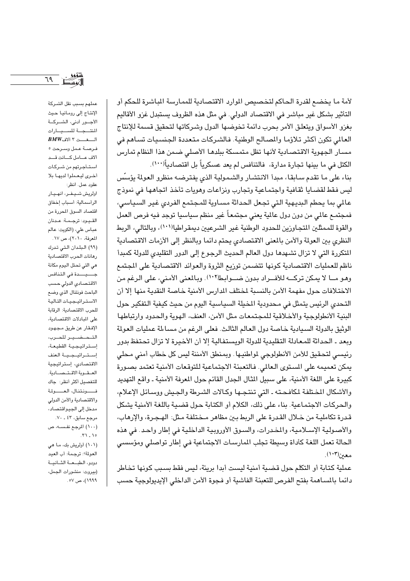لأمة ما يخضع لقدرة الحاكم لتخصيص الموارد الاقتصادية للممارسة الباشرة للحكم أو التأثير بشكل غير مباشر في الاقتصاد الدولي. في مثل هذه الظروف يستبدل غزو الأقاليم بغزو الأسواق ويتعلق الأمر بحرب دائمة تخوضها الدول وشركاتها لتحقيق قسمة للإنتاج العالمي تكون أكثر تلاؤما والمصالح الوطنية. فالشركات متعددة الجنسيات تساهم في مسار الجهوية الاقتصادية لأنها تظل متمسكة ببلدها الأصلى ضمن هذا النظام تمارس الكتل في ما بينها تجارة مدارة، فالتنافس لم يعد عسكرياً بل اقتصادياً(١٠٠).

بناء على ما تقدم سابقا، مبدأ الانتشار والشمولية الذي يفترضه منظرو العولة يؤسِّس ليس فقط لقضايا ثقافية واجتماعية وتجارب ونزاعات وهويات تأخذ اتجاهها في نموذج عالمي بما يحطم البديهية التي تجعل الحداثة مساوية للمجتمع الفردي غير السياسي، فمجتمـع عالمي من دون دول عالمية يعني مجتمعـاً غير منظم سياسيا توجد فـيه فرص العمل والقوة للممثلين المتجاوزين للحدود الوطنية غير الشرعيين ديمقراطيا(١٠١)، وبالتالي، الربط النظري بين العولة والأمن بالمعنى الاقتصادي يحتم دائما وبالنظر إلى الأزمات الاقتصادية المتكررة التي لا تزال تشهدها دول العالم الحديث الرجوع إلى الدور التقليدي للدولة كمبدأ ناظم للعمليات الاقتصادية كونها تتضمن توزيع الثروة والعوائد الاقتصادية على المجتمع وهو مـا لا يمكن تركــه للأفــراد بدون ضــوابط(١٠٢). وبالمعنى الأمنى، على الرغم من الاختلافات حول مفهمة الأمن بالنسبة لختلف الدارس الأمنية خاصة النقدية منها إلا أن التحدي الرئيس يتمثل في محدودية المخيلة السياسية اليوم من حيث كيفية التفكير حول البنية الأنطولوجية والأخلاقية للمجتمعات مثل الأمن، العنف، الهوية والحدود وارتباطها الوثيق بالدولة السيادية خاصة دول العالم الثالث. فعلى الرغم من مساءلة عمليات العولمة وبعد ـ الحداثة للمعادلة التقليدية للدولة الويستفالية إلا أن الأخيرة لا تزال تحتفظ بدور رئيسي لتحقيق للأمن الأنطولوجي لمواطنيها . وبمنطق الأمننة ليس كل خطاب أمني محلي يمكن تعميمه على المستوى العالمي. فالتعبئة الاجتماعية للتوقعات الأمنية تعتمد بصورة كبيرة على اللغة الأمنية، على سبيل المثال الجدل القائم حول المعرفة الأمنية ـ واقع التهديد والأشكال المختلفة لمكافحته ـ التي تنتجها وكالات الشرطة والجيش ووسائل الإعلام، والحركات الاجتماعية. بناء على ذلك، الكلام أو الكتابة حول قضية باللغة الأمنية يشكل قدرة تكاملية من خلال القدرة على الربط بين مظاهر مـختلفة مـثل: الهـجـرة، والإرهاب، والأصولية الإسلامية، والمخدرات، والسوق الأوروبية الداخلية في إطار واحد. في هذه الحالة تعمل اللغة كأداة وسيطة تجلب المارسات الاجتماعية في إطار تواصلي ومؤسسي معين(١٠٣).

عملية كتابة أو التكلم حول قضية أمنية ليست أبدا بريئة، ليس فقط بسبب كونها تخاطر دائما بالسـاهمة بفتح الفرص للتعبئة الفاشية أو فـجوة الأمن الداخلي الإيديولوجية حسب

عملهم بسبب نقل الشركة الإنتاج إلى رومانيا حيث الأجور أدنى، الشركة المنتسجة للسسيسارات  $\textit{BMW}$ ألفت ٢ ألاف فرصة عمل وسرحت ٥

ألاف عسامل كسانت قسد استأجرتهم من شركات أخرى ليعملوا لديها بلا عقود عمل. انظر:

اولريش شيفر، انهيار الرأسمالية: أسباب إخفاق اقتصاد السوق المحررة من القيود: ترجمة: عدنان عباس على، (الكويت: عالم المعرفة، ٢٠١٠)، ص ١٧. (٩٩) البلدان التي تدرك رهانات الحرب الاقتصادية هي التي تحتل اليوم مكانة جسيسدة فى التنافس الاقتصادى الدولى حسب الباحث فونتنال الذى وضع الاستراتيجيات التالية للحرب الاقتصادية: الرقابة على المبادلات الاقتصادية، الإفقار عن طريق مجهود التحضير للحرب، إستراتيجية القطيعة، إستراتيجية العنف الاقتصادى، إستراتيجية العقوبة الاقتصادية. للتفصيل أكثر أنظر: جاك فسونتنال، العسولة والاقتصادية والأمن الدولي مدخل إلى الجيواقتصاد، مرجع سابق، ٤٣ ـ ٧٠. (١٠٠) الرجع نفسـه، ص

 $.71 - 10$ (١٠١) أولريش بك، ما هي العولة؟: ترجمة: أب العيد دودو، الطبعة الثانية (بيروت: منشورات الجمل، ۱۹۹۹)، ص ۷۰.

لتنوو<br>الأوسط 17